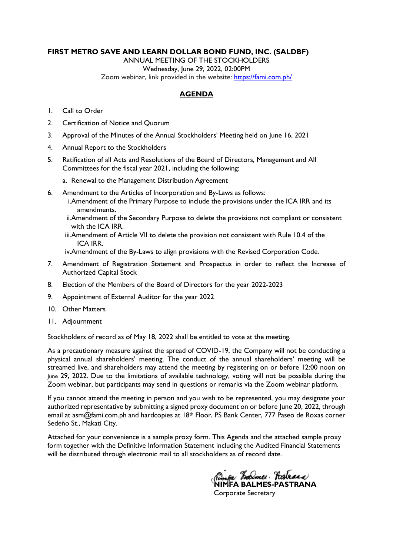### **FIRST METRO SAVE AND LEARN DOLLAR BOND FUND, INC. (SALDBF)**

ANNUAL MEETING OF THE STOCKHOLDERS Wednesday, June 29, 2022, 02:00PM Zoom webinar, link provided in the website:<https://fami.com.ph/>

### **AGENDA**

- 1. Call to Order
- 2. Certification of Notice and Quorum
- 3. Approval of the Minutes of the Annual Stockholders' Meeting held on June 16, 2021
- 4. Annual Report to the Stockholders
- 5. Ratification of all Acts and Resolutions of the Board of Directors, Management and All Committees for the fiscal year 2021, including the following:
	- a. Renewal to the Management Distribution Agreement
- 6. Amendment to the Articles of Incorporation and By-Laws as follows:
	- i.Amendment of the Primary Purpose to include the provisions under the ICA IRR and its amendments.
	- ii.Amendment of the Secondary Purpose to delete the provisions not compliant or consistent with the ICA IRR.
	- iii.Amendment of Article VII to delete the provision not consistent with Rule 10.4 of the ICA IRR.
	- iv.Amendment of the By-Laws to align provisions with the Revised Corporation Code.
- 7. Amendment of Registration Statement and Prospectus in order to reflect the Increase of Authorized Capital Stock
- 8. Election of the Members of the Board of Directors for the year 2022-2023
- 9. Appointment of External Auditor for the year 2022
- 10. Other Matters
- 11. Adjournment

Stockholders of record as of May 18, 2022 shall be entitled to vote at the meeting.

As a precautionary measure against the spread of COVID-19, the Company will not be conducting a physical annual shareholders' meeting. The conduct of the annual shareholders' meeting will be streamed live, and shareholders may attend the meeting by registering on or before 12:00 noon on June 29, 2022. Due to the limitations of available technology, voting will not be possible during the Zoom webinar, but participants may send in questions or remarks via the Zoom webinar platform.

If you cannot attend the meeting in person and you wish to be represented, you may designate your authorized representative by submitting a signed proxy document on or before June 20, 2022, through email at asm@fami.com.ph and hardcopies at 18<sup>th</sup> Floor, PS Bank Center, 777 Paseo de Roxas corner Sedeño St., Makati City.

Attached for your convenience is a sample proxy form. This Agenda and the attached sample proxy form together with the Definitive Information Statement including the Audited Financial Statements will be distributed through electronic mail to all stockholders as of record date.

*Rimfa Balmer Pastrana*<br>NIMFA BALMES-PASTRANA

Corporate Secretary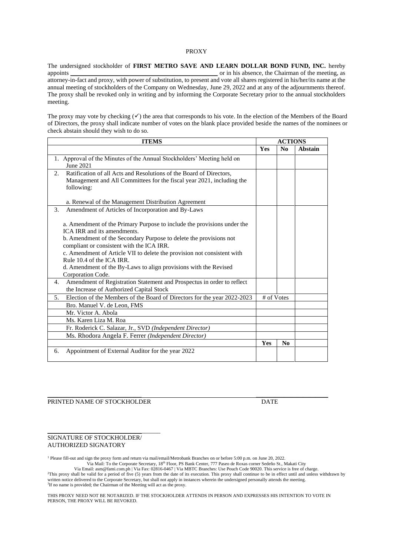#### PROXY

The undersigned stockholder of **FIRST METRO SAVE AND LEARN DOLLAR BOND FUND, INC.** hereby appoints \_\_\_\_\_\_\_\_\_\_\_\_\_\_\_\_\_\_\_\_\_\_\_\_\_\_\_\_\_\_\_\_\_\_\_\_\_\_\_\_\_\_\_\_\_\_\_ or in his absence, the Chairman of the meeting, as attorney-in-fact and proxy, with power of substitution, to present and vote all shares registered in his/her/its name at the annual meeting of stockholders of the Company on Wednesday, June 29, 2022 and at any of the adjournments thereof. The proxy shall be revoked only in writing and by informing the Corporate Secretary prior to the annual stockholders meeting.

The proxy may vote by checking  $(\checkmark)$  the area that corresponds to his vote. In the election of the Members of the Board of Directors, the proxy shall indicate number of votes on the blank place provided beside the names of the nominees or check abstain should they wish to do so.

| <b>ITEMS</b>                                                                                           |            | <b>ACTIONS</b> |                |
|--------------------------------------------------------------------------------------------------------|------------|----------------|----------------|
|                                                                                                        | Yes        | N <sub>0</sub> | <b>Abstain</b> |
| 1. Approval of the Minutes of the Annual Stockholders' Meeting held on                                 |            |                |                |
| June 2021                                                                                              |            |                |                |
| Ratification of all Acts and Resolutions of the Board of Directors,<br>2.                              |            |                |                |
| Management and All Committees for the fiscal year 2021, including the                                  |            |                |                |
| following:                                                                                             |            |                |                |
|                                                                                                        |            |                |                |
| a. Renewal of the Management Distribution Agreement                                                    |            |                |                |
| 3.<br>Amendment of Articles of Incorporation and By-Laws                                               |            |                |                |
|                                                                                                        |            |                |                |
| a. Amendment of the Primary Purpose to include the provisions under the<br>ICA IRR and its amendments. |            |                |                |
| b. Amendment of the Secondary Purpose to delete the provisions not                                     |            |                |                |
| compliant or consistent with the ICA IRR.                                                              |            |                |                |
| c. Amendment of Article VII to delete the provision not consistent with                                |            |                |                |
| Rule 10.4 of the ICA IRR.                                                                              |            |                |                |
| d. Amendment of the By-Laws to align provisions with the Revised                                       |            |                |                |
| Corporation Code.                                                                                      |            |                |                |
| Amendment of Registration Statement and Prospectus in order to reflect<br>4.                           |            |                |                |
| the Increase of Authorized Capital Stock                                                               |            |                |                |
| Election of the Members of the Board of Directors for the year 2022-2023<br>5.                         | # of Votes |                |                |
| Bro. Manuel V. de Leon, FMS                                                                            |            |                |                |
| Mr. Victor A. Abola                                                                                    |            |                |                |
| Ms. Karen Liza M. Roa                                                                                  |            |                |                |
| Fr. Roderick C. Salazar, Jr., SVD (Independent Director)                                               |            |                |                |
| Ms. Rhodora Angela F. Ferrer (Independent Director)                                                    |            |                |                |
|                                                                                                        | Yes        | N <sub>0</sub> |                |
| Appointment of External Auditor for the year 2022<br>6.                                                |            |                |                |
|                                                                                                        |            |                |                |

PRINTED NAME OF STOCKHOLDER DATE

#### SIGNATURE OF STOCKHOLDER/ AUTHORIZED SIGNATORY

\_\_\_\_\_\_\_\_\_\_\_\_\_\_\_\_\_\_\_\_\_\_\_\_\_\_\_\_\_\_\_\_\_\_\_\_

<sup>1</sup> Please fill-out and sign the proxy form and return via mail/email/Metrobank Branches on or before 5:00 p.m. on June 20, 2022.

Via Mail: To the Corporate Secretary, 18th Floor, PS Bank Center, 777 Paseo de Roxas corner Sedeño St., Makati City

\_\_\_\_\_\_\_\_\_\_\_\_\_\_\_\_\_\_\_\_\_\_\_\_\_\_\_\_\_\_ \_\_\_\_\_\_\_\_\_\_\_\_\_\_\_\_\_\_\_\_\_\_\_

Via Email: asm@fami.com.ph | Via Fax: 02816-0467 | Via MBTC Branches: Use Pouch Code 90020. This service is free of charge. <sup>2</sup>This proxy shall be valid for a period of five (5) years from the date of its execution. This proxy shall continue to be in effect until and unless withdrawn by written notice delivered to the Corporate Secretary, but shall not apply in instances wherein the undersigned personally attends the meeting. <sup>3</sup>If no name is provided; the Chairman of the Meeting will act as the proxy.

THIS PROXY NEED NOT BE NOTARIZED. IF THE STOCKHOLDER ATTENDS IN PERSON AND EXPRESSES HIS INTENTION TO VOTE IN PERSON, THE PROXY WILL BE REVOKED.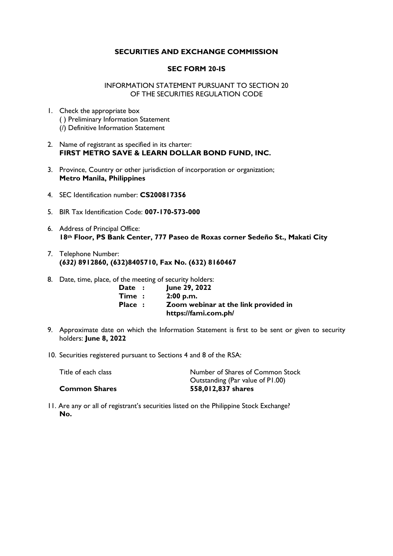### **SECURITIES AND EXCHANGE COMMISSION**

### **SEC FORM 20-IS**

#### INFORMATION STATEMENT PURSUANT TO SECTION 20 OF THE SECURITIES REGULATION CODE

- 1. Check the appropriate box ( ) Preliminary Information Statement (/) Definitive Information Statement
- 2. Name of registrant as specified in its charter: **FIRST METRO SAVE & LEARN DOLLAR BOND FUND, INC.**
- 3. Province, Country or other jurisdiction of incorporation or organization; **Metro Manila, Philippines**
- 4. SEC Identification number: **CS200817356**
- 5. BIR Tax Identification Code: **007-170-573-000**
- 6. Address of Principal Office: **18th Floor, PS Bank Center, 777 Paseo de Roxas corner Sedeño St., Makati City**
- 7. Telephone Number: **(***632)* **8912860, (632)8405710, Fax No. (632) 8160467**
- 8. Date, time, place, of the meeting of security holders:

| <b>Date:</b>        | June 29, 2022                        |
|---------------------|--------------------------------------|
| $\mathsf{Time}\; :$ | 2:00 p.m.                            |
| <b>Place:</b>       | Zoom webinar at the link provided in |
|                     | https://fami.com.ph/                 |

- 9. Approximate date on which the Information Statement is first to be sent or given to security holders: **June 8, 2022**
- 10. Securities registered pursuant to Sections 4 and 8 of the RSA:

| Title of each class  | Number of Shares of Common Stock |
|----------------------|----------------------------------|
|                      | Outstanding (Par value of P1.00) |
| <b>Common Shares</b> | 558,012,837 shares               |

11. Are any or all of registrant's securities listed on the Philippine Stock Exchange? **No.**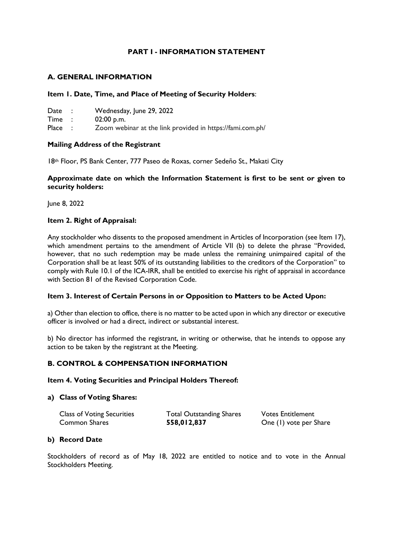## **PART I - INFORMATION STATEMENT**

## **A. GENERAL INFORMATION**

### **Item 1. Date, Time, and Place of Meeting of Security Holders**:

| Date   | Wednesday, June 29, 2022                                  |
|--------|-----------------------------------------------------------|
| Time : | $02:00$ p.m.                                              |
| Place  | Zoom webinar at the link provided in https://fami.com.ph/ |

### **Mailing Address of the Registrant**

18th Floor, PS Bank Center, 777 Paseo de Roxas, corner Sedeño St., Makati City

### **Approximate date on which the Information Statement is first to be sent or given to security holders:**

June 8, 2022

### **Item 2. Right of Appraisal:**

Any stockholder who dissents to the proposed amendment in Articles of Incorporation (see Item 17), which amendment pertains to the amendment of Article VII (b) to delete the phrase "Provided, however, that no such redemption may be made unless the remaining unimpaired capital of the Corporation shall be at least 50% of its outstanding liabilities to the creditors of the Corporation" to comply with Rule 10.1 of the ICA-IRR, shall be entitled to exercise his right of appraisal in accordance with Section 81 of the Revised Corporation Code.

#### **Item 3. Interest of Certain Persons in or Opposition to Matters to be Acted Upon:**

a) Other than election to office, there is no matter to be acted upon in which any director or executive officer is involved or had a direct, indirect or substantial interest.

b) No director has informed the registrant, in writing or otherwise, that he intends to oppose any action to be taken by the registrant at the Meeting.

## **B. CONTROL & COMPENSATION INFORMATION**

#### **Item 4. Voting Securities and Principal Holders Thereof:**

### **a) Class of Voting Shares:**

| <b>Class of Voting Securities</b> | <b>Total Outstanding Shares</b> | <b>Votes Entitlement</b> |
|-----------------------------------|---------------------------------|--------------------------|
| Common Shares                     | 558,012,837                     | One (1) vote per Share   |

## **b) Record Date**

Stockholders of record as of May 18, 2022 are entitled to notice and to vote in the Annual Stockholders Meeting.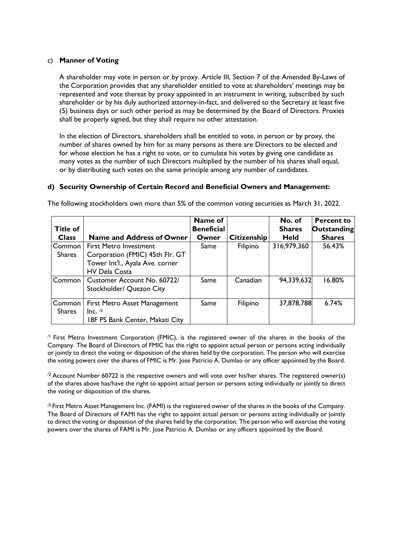### c) **Manner of Voting**

A shareholder may vote in person or by proxy. Article III, Section 7 of the Amended By-Laws of the Corporation provides that any shareholder entitled to vote at shareholders' meetings may be represented and vote thereat by proxy appointed in an instrument in writing, subscribed by such shareholder or by his duly authorized attorney-in-fact, and delivered to the Secretary at least five (5) business days or such other period as may be determined by the Board of Directors. Proxies shall be properly signed, but they shall require no other attestation.

In the election of Directors, shareholders shall be entitled to vote, in person or by proxy, the number of shares owned by him for as many persons as there are Directors to be elected and for whose election he has a right to vote, or to cumulate his votes by giving one candidate as many votes as the number of such Directors multiplied by the number of his shares shall equal, or by distributing such votes on the same principle among any number of candidates.

#### **d) Security Ownership of Certain Record and Beneficial Owners and Management:**

| <b>Title of</b> |                                  | Name of<br><b>Beneficial</b> |                    | No. of<br><b>Shares</b> | <b>Percent to</b><br><b>Outstanding</b> |
|-----------------|----------------------------------|------------------------------|--------------------|-------------------------|-----------------------------------------|
| <b>Class</b>    | <b>Name and Address of Owner</b> | Owner                        | <b>Citizenship</b> | <b>Held</b>             | <b>Shares</b>                           |
| Common          | <b>First Metro Investment</b>    | Same                         | Filipino           | 316,979,360             | 56.43%                                  |
| <b>Shares</b>   | Corporation (FMIC) 45th Flr. GT  |                              |                    |                         |                                         |
|                 | Tower Int'l., Ayala Ave. corner  |                              |                    |                         |                                         |
|                 | <b>HV Dela Costa</b>             |                              |                    |                         |                                         |
| Common          | Customer Account No. 60722/      | Same                         | Canadian           | 94,339,632              | 16.80%                                  |
|                 | Stockholder/ Quezon City         |                              |                    |                         |                                         |
| Common          | First Metro Asset Management     | Same                         | Filipino           | 37,878,788              | 6.74%                                   |
| <b>Shares</b>   | $Inc.$ /3                        |                              |                    |                         |                                         |
|                 | 18F PS Bank Center, Makati City  |                              |                    |                         |                                         |

The following stockholders own more than 5% of the common voting securities as March 31, 2022.

 $/1$  First Metro Investment Corporation (FMIC), is the registered owner of the shares in the books of the Company. The Board of Directors of FMIC has the right to appoint actual person or persons acting individually or jointly to direct the voting or disposition of the shares held by the corporation. The person who will exercise the voting powers over the shares of FMIC is Mr. Jose Patricio A. Dumlao or any officer appointed by the Board.

<sup>/2</sup> Account Number 60722 is the respective owners and will vote over his/her shares. The registered owner(s) of the shares above has/have the right to appoint actual person or persons acting individually or jointly to direct the voting or disposition of the shares.

 $\beta$  First Metro Asset Management Inc. (FAMI) is the registered owner of the shares in the books of the Company. The Board of Directors of FAMI has the right to appoint actual person or persons acting individually or jointly to direct the voting or disposition of the shares held by the corporation. The person who will exercise the voting powers over the shares of FAMI is Mr. Jose Patricio A. Dumlao or any officers appointed by the Board.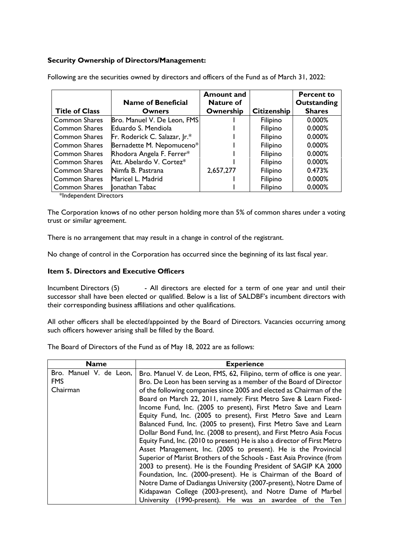## **Security Ownership of Directors/Management:**

|                       | <b>Name of Beneficial</b>     | <b>Amount and</b><br><b>Nature of</b> |                    | <b>Percent to</b><br>Outstanding |
|-----------------------|-------------------------------|---------------------------------------|--------------------|----------------------------------|
| <b>Title of Class</b> | <b>Owners</b>                 | Ownership                             | <b>Citizenship</b> | <b>Shares</b>                    |
| <b>Common Shares</b>  | Bro. Manuel V. De Leon, FMS   |                                       | Filipino           | 0.000%                           |
| <b>Common Shares</b>  | Eduardo S. Mendiola           |                                       | Filipino           | 0.000%                           |
| <b>Common Shares</b>  | Fr. Roderick C. Salazar, Jr.* |                                       | Filipino           | 0.000%                           |
| <b>Common Shares</b>  | Bernadette M. Nepomuceno*     |                                       | Filipino           | 0.000%                           |
| <b>Common Shares</b>  | Rhodora Angela F. Ferrer*     |                                       | Filipino           | 0.000%                           |
| <b>Common Shares</b>  | Att. Abelardo V. Cortez*      |                                       | Filipino           | 0.000%                           |
| <b>Common Shares</b>  | Nimfa B. Pastrana             | 2,657,277                             | Filipino           | 0.473%                           |
| <b>Common Shares</b>  | Maricel L. Madrid             |                                       | Filipino           | 0.000%                           |
| <b>Common Shares</b>  | onathan Tabac                 |                                       | Filipino           | 0.000%                           |

Following are the securities owned by directors and officers of the Fund as of March 31, 2022:

\*Independent Directors

The Corporation knows of no other person holding more than 5% of common shares under a voting trust or similar agreement.

There is no arrangement that may result in a change in control of the registrant.

No change of control in the Corporation has occurred since the beginning of its last fiscal year.

### **Item 5. Directors and Executive Officers**

Incumbent Directors (5) - All directors are elected for a term of one year and until their successor shall have been elected or qualified. Below is a list of SALDBF's incumbent directors with their corresponding business affiliations and other qualifications.

All other officers shall be elected/appointed by the Board of Directors. Vacancies occurring among such officers however arising shall be filled by the Board.

The Board of Directors of the Fund as of May 18, 2022 are as follows:

| <b>Name</b>             | <b>Experience</b>                                                        |
|-------------------------|--------------------------------------------------------------------------|
| Bro. Manuel V. de Leon, | Bro. Manuel V. de Leon, FMS, 62, Filipino, term of office is one year.   |
| <b>FMS</b>              | Bro. De Leon has been serving as a member of the Board of Director       |
| Chairman                | of the following companies since 2005 and elected as Chairman of the     |
|                         | Board on March 22, 2011, namely: First Metro Save & Learn Fixed-         |
|                         | Income Fund, Inc. (2005 to present), First Metro Save and Learn          |
|                         | Equity Fund, Inc. (2005 to present), First Metro Save and Learn          |
|                         | Balanced Fund, Inc. (2005 to present), First Metro Save and Learn        |
|                         | Dollar Bond Fund, Inc. (2008 to present), and First Metro Asia Focus     |
|                         | Equity Fund, Inc. (2010 to present) He is also a director of First Metro |
|                         | Asset Management, Inc. (2005 to present). He is the Provincial           |
|                         | Superior of Marist Brothers of the Schools - East Asia Province (from    |
|                         | 2003 to present). He is the Founding President of SAGIP KA 2000          |
|                         | Foundation, Inc. (2000-present). He is Chairman of the Board of          |
|                         | Notre Dame of Dadiangas University (2007-present), Notre Dame of         |
|                         | Kidapawan College (2003-present), and Notre Dame of Marbel               |
|                         | University (1990-present). He was an awardee of the Ten                  |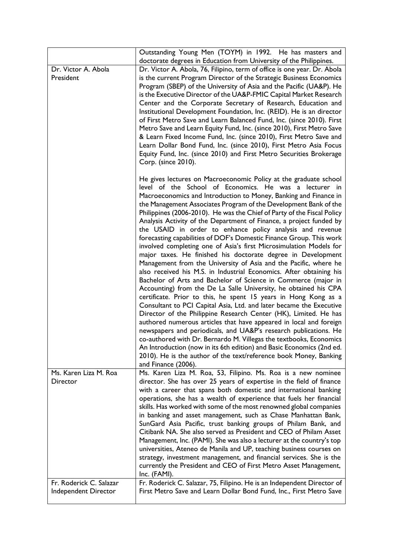|                                                 | Outstanding Young Men (TOYM) in 1992. He has masters and                                                                                                                                                                                                                                                                                                                                                                                                                                                                                                                                                                                                                                                                                                                                                                                                                                                                                                                                                                                                                                                                  |
|-------------------------------------------------|---------------------------------------------------------------------------------------------------------------------------------------------------------------------------------------------------------------------------------------------------------------------------------------------------------------------------------------------------------------------------------------------------------------------------------------------------------------------------------------------------------------------------------------------------------------------------------------------------------------------------------------------------------------------------------------------------------------------------------------------------------------------------------------------------------------------------------------------------------------------------------------------------------------------------------------------------------------------------------------------------------------------------------------------------------------------------------------------------------------------------|
|                                                 | doctorate degrees in Education from University of the Philippines.                                                                                                                                                                                                                                                                                                                                                                                                                                                                                                                                                                                                                                                                                                                                                                                                                                                                                                                                                                                                                                                        |
| Dr. Victor A. Abola                             | Dr. Victor A. Abola, 76, Filipino, term of office is one year. Dr. Abola                                                                                                                                                                                                                                                                                                                                                                                                                                                                                                                                                                                                                                                                                                                                                                                                                                                                                                                                                                                                                                                  |
| President                                       | is the current Program Director of the Strategic Business Economics<br>Program (SBEP) of the University of Asia and the Pacific (UA&P). He<br>is the Executive Director of the UA&P-FMIC Capital Market Research<br>Center and the Corporate Secretary of Research, Education and                                                                                                                                                                                                                                                                                                                                                                                                                                                                                                                                                                                                                                                                                                                                                                                                                                         |
|                                                 | Institutional Development Foundation, Inc. (REID). He is an director<br>of First Metro Save and Learn Balanced Fund, Inc. (since 2010). First<br>Metro Save and Learn Equity Fund, Inc. (since 2010), First Metro Save                                                                                                                                                                                                                                                                                                                                                                                                                                                                                                                                                                                                                                                                                                                                                                                                                                                                                                    |
|                                                 | & Learn Fixed Income Fund, Inc. (since 2010), First Metro Save and<br>Learn Dollar Bond Fund, Inc. (since 2010), First Metro Asia Focus<br>Equity Fund, Inc. (since 2010) and First Metro Securities Brokerage<br>Corp. (since 2010).                                                                                                                                                                                                                                                                                                                                                                                                                                                                                                                                                                                                                                                                                                                                                                                                                                                                                     |
|                                                 | He gives lectures on Macroeconomic Policy at the graduate school<br>level of the School of Economics. He was a lecturer in<br>Macroeconomics and Introduction to Money, Banking and Finance in<br>the Management Associates Program of the Development Bank of the<br>Philippines (2006-2010). He was the Chief of Party of the Fiscal Policy<br>Analysis Activity of the Department of Finance, a project funded by<br>the USAID in order to enhance policy analysis and revenue<br>forecasting capabilities of DOF's Domestic Finance Group. This work<br>involved completing one of Asia's first Microsimulation Models for<br>major taxes. He finished his doctorate degree in Development<br>Management from the University of Asia and the Pacific, where he<br>also received his M.S. in Industrial Economics. After obtaining his<br>Bachelor of Arts and Bachelor of Science in Commerce (major in<br>Accounting) from the De La Salle University, he obtained his CPA<br>certificate. Prior to this, he spent 15 years in Hong Kong as a<br>Consultant to PCI Capital Asia, Ltd. and later became the Executive |
|                                                 | Director of the Philippine Research Center (HK), Limited. He has<br>authored numerous articles that have appeared in local and foreign<br>newspapers and periodicals, and UA&P's research publications. He<br>co-authored with Dr. Bernardo M. Villegas the textbooks, Economics<br>An Introduction (now in its 6th edition) and Basic Economics (2nd ed.<br>2010). He is the author of the text/reference book Money, Banking<br>and Finance (2006).                                                                                                                                                                                                                                                                                                                                                                                                                                                                                                                                                                                                                                                                     |
| Ms. Karen Liza M. Roa<br>Director               | Ms. Karen Liza M. Roa, 53, Filipino. Ms. Roa is a new nominee<br>director. She has over 25 years of expertise in the field of finance<br>with a career that spans both domestic and international banking<br>operations, she has a wealth of experience that fuels her financial<br>skills. Has worked with some of the most renowned global companies<br>in banking and asset management, such as Chase Manhattan Bank,<br>SunGard Asia Pacific, trust banking groups of Philam Bank, and<br>Citibank NA. She also served as President and CEO of Philam Asset<br>Management, Inc. (PAMI). She was also a lecturer at the country's top<br>universities, Ateneo de Manila and UP, teaching business courses on<br>strategy, investment management, and financial services. She is the<br>currently the President and CEO of First Metro Asset Management,<br>Inc. (FAMI).                                                                                                                                                                                                                                                |
| Fr. Roderick C. Salazar<br>Independent Director | Fr. Roderick C. Salazar, 75, Filipino. He is an Independent Director of<br>First Metro Save and Learn Dollar Bond Fund, Inc., First Metro Save                                                                                                                                                                                                                                                                                                                                                                                                                                                                                                                                                                                                                                                                                                                                                                                                                                                                                                                                                                            |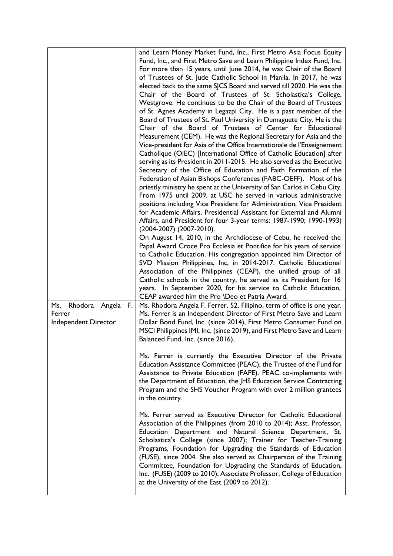|                                                            | and Learn Money Market Fund, Inc., First Metro Asia Focus Equity<br>Fund, Inc., and First Metro Save and Learn Philippine Index Fund, Inc.<br>For more than 15 years, until June 2014, he was Chair of the Board<br>of Trustees of St. Jude Catholic School in Manila. In 2017, he was<br>elected back to the same SJCS Board and served till 2020. He was the<br>Chair of the Board of Trustees of St. Scholastica's College,<br>Westgrove. He continues to be the Chair of the Board of Trustees<br>of St. Agnes Academy in Legazpi City. He is a past member of the<br>Board of Trustees of St. Paul University in Dumaguete City. He is the<br>Chair of the Board of Trustees of Center for Educational<br>Measurement (CEM). He was the Regional Secretary for Asia and the<br>Vice-president for Asia of the Office Internationale de l'Enseignement<br>Catholique (OIEC) [International Office of Catholic Education] after<br>serving as its President in 2011-2015. He also served as the Executive<br>Secretary of the Office of Education and Faith Formation of the<br>Federation of Asian Bishops Conferences (FABC-OEFF). Most of his<br>priestly ministry he spent at the University of San Carlos in Cebu City.<br>From 1975 until 2009, at USC he served in various administrative<br>positions including Vice President for Administration, Vice President<br>for Academic Affairs, Presidential Assistant for External and Alumni<br>Affairs, and President for four 3-year terms: 1987-1990; 1990-1993)<br>(2004-2007) (2007-2010).<br>On August 14, 2010, in the Archdiocese of Cebu, he received the<br>Papal Award Croce Pro Ecclesia et Pontifice for his years of service<br>to Catholic Education. His congregation appointed him Director of<br>SVD Mission Philippines, Inc, in 2014-2017. Catholic Educational<br>Association of the Philippines (CEAP), the unified group of all<br>Catholic schools in the country, he served as its President for 16<br>years. In September 2020, for his service to Catholic Education, |
|------------------------------------------------------------|----------------------------------------------------------------------------------------------------------------------------------------------------------------------------------------------------------------------------------------------------------------------------------------------------------------------------------------------------------------------------------------------------------------------------------------------------------------------------------------------------------------------------------------------------------------------------------------------------------------------------------------------------------------------------------------------------------------------------------------------------------------------------------------------------------------------------------------------------------------------------------------------------------------------------------------------------------------------------------------------------------------------------------------------------------------------------------------------------------------------------------------------------------------------------------------------------------------------------------------------------------------------------------------------------------------------------------------------------------------------------------------------------------------------------------------------------------------------------------------------------------------------------------------------------------------------------------------------------------------------------------------------------------------------------------------------------------------------------------------------------------------------------------------------------------------------------------------------------------------------------------------------------------------------------------------------------------------------------------------------------------------------------------------------------------|
| Ms. Rhodora Angela<br>F.<br>Ferrer<br>Independent Director | CEAP awarded him the Pro \Deo et Patria Award.<br>Ms. Rhodora Angela F. Ferrer, 52, Filipino, term of office is one year.<br>Ms. Ferrer is an Independent Director of First Metro Save and Learn<br>Dollar Bond Fund, Inc. (since 2014), First Metro Consumer Fund on<br>MSCI Philippines IMI, Inc. (since 2019), and First Metro Save and Learn<br>Balanced Fund, Inc. (since 2016).                                                                                                                                                                                                                                                                                                                                                                                                                                                                                                                                                                                                                                                                                                                                                                                                                                                                                                                                                                                                                                                                                                                                                                                                                                                                                                                                                                                                                                                                                                                                                                                                                                                                    |
|                                                            | Ms. Ferrer is currently the Executive Director of the Private<br>Education Assistance Committee (PEAC), the Trustee of the Fund for<br>Assistance to Private Education (FAPE). PEAC co-implements with<br>the Department of Education, the JHS Education Service Contracting<br>Program and the SHS Voucher Program with over 2 million grantees<br>in the country.                                                                                                                                                                                                                                                                                                                                                                                                                                                                                                                                                                                                                                                                                                                                                                                                                                                                                                                                                                                                                                                                                                                                                                                                                                                                                                                                                                                                                                                                                                                                                                                                                                                                                      |
|                                                            | Ms. Ferrer served as Executive Director for Catholic Educational<br>Association of the Philippines (from 2010 to 2014); Asst. Professor,<br>Education Department and Natural Science Department, St.<br>Scholastica's College (since 2007); Trainer for Teacher-Training<br>Programs, Foundation for Upgrading the Standards of Education<br>(FUSE), since 2004. She also served as Chairperson of the Training<br>Committee, Foundation for Upgrading the Standards of Education,<br>Inc. (FUSE) (2009 to 2010); Associate Professor, College of Education<br>at the University of the East (2009 to 2012).                                                                                                                                                                                                                                                                                                                                                                                                                                                                                                                                                                                                                                                                                                                                                                                                                                                                                                                                                                                                                                                                                                                                                                                                                                                                                                                                                                                                                                             |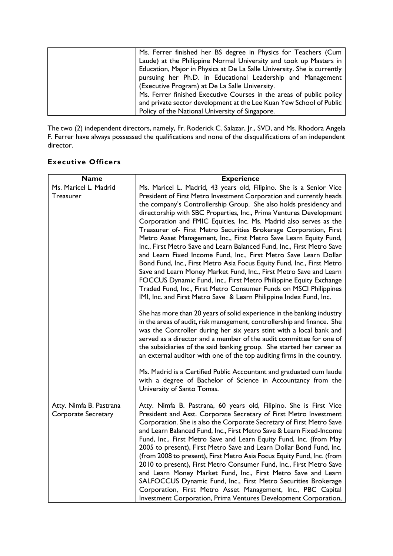| Ms. Ferrer finished her BS degree in Physics for Teachers (Cum          |
|-------------------------------------------------------------------------|
| Laude) at the Philippine Normal University and took up Masters in       |
| Education, Major in Physics at De La Salle University. She is currently |
| pursuing her Ph.D. in Educational Leadership and Management             |
| (Executive Program) at De La Salle University.                          |
| Ms. Ferrer finished Executive Courses in the areas of public policy     |
| and private sector development at the Lee Kuan Yew School of Public     |
| Policy of the National University of Singapore.                         |
|                                                                         |

The two (2) independent directors, namely, Fr. Roderick C. Salazar, Jr., SVD, and Ms. Rhodora Angela F. Ferrer have always possessed the qualifications and none of the disqualifications of an independent director.

## **Executive Officers**

| Ms. Maricel L. Madrid<br>Ms. Maricel L. Madrid, 43 years old, Filipino. She is a Senior Vice<br>President of First Metro Investment Corporation and currently heads<br>Treasurer<br>the company's Controllership Group. She also holds presidency and<br>directorship with SBC Properties, Inc., Prima Ventures Development<br>Corporation and FMIC Equities, Inc. Ms. Madrid also serves as the<br>Treasurer of- First Metro Securities Brokerage Corporation, First<br>Metro Asset Management, Inc., First Metro Save Learn Equity Fund,<br>Inc., First Metro Save and Learn Balanced Fund, Inc., First Metro Save<br>and Learn Fixed Income Fund, Inc., First Metro Save Learn Dollar<br>Bond Fund, Inc., First Metro Asia Focus Equity Fund, Inc., First Metro<br>Save and Learn Money Market Fund, Inc., First Metro Save and Learn<br>FOCCUS Dynamic Fund, Inc., First Metro Philippine Equity Exchange<br>Traded Fund, Inc., First Metro Consumer Funds on MSCI Philippines |
|------------------------------------------------------------------------------------------------------------------------------------------------------------------------------------------------------------------------------------------------------------------------------------------------------------------------------------------------------------------------------------------------------------------------------------------------------------------------------------------------------------------------------------------------------------------------------------------------------------------------------------------------------------------------------------------------------------------------------------------------------------------------------------------------------------------------------------------------------------------------------------------------------------------------------------------------------------------------------------|
|                                                                                                                                                                                                                                                                                                                                                                                                                                                                                                                                                                                                                                                                                                                                                                                                                                                                                                                                                                                    |
|                                                                                                                                                                                                                                                                                                                                                                                                                                                                                                                                                                                                                                                                                                                                                                                                                                                                                                                                                                                    |
|                                                                                                                                                                                                                                                                                                                                                                                                                                                                                                                                                                                                                                                                                                                                                                                                                                                                                                                                                                                    |
|                                                                                                                                                                                                                                                                                                                                                                                                                                                                                                                                                                                                                                                                                                                                                                                                                                                                                                                                                                                    |
|                                                                                                                                                                                                                                                                                                                                                                                                                                                                                                                                                                                                                                                                                                                                                                                                                                                                                                                                                                                    |
|                                                                                                                                                                                                                                                                                                                                                                                                                                                                                                                                                                                                                                                                                                                                                                                                                                                                                                                                                                                    |
|                                                                                                                                                                                                                                                                                                                                                                                                                                                                                                                                                                                                                                                                                                                                                                                                                                                                                                                                                                                    |
|                                                                                                                                                                                                                                                                                                                                                                                                                                                                                                                                                                                                                                                                                                                                                                                                                                                                                                                                                                                    |
|                                                                                                                                                                                                                                                                                                                                                                                                                                                                                                                                                                                                                                                                                                                                                                                                                                                                                                                                                                                    |
|                                                                                                                                                                                                                                                                                                                                                                                                                                                                                                                                                                                                                                                                                                                                                                                                                                                                                                                                                                                    |
|                                                                                                                                                                                                                                                                                                                                                                                                                                                                                                                                                                                                                                                                                                                                                                                                                                                                                                                                                                                    |
|                                                                                                                                                                                                                                                                                                                                                                                                                                                                                                                                                                                                                                                                                                                                                                                                                                                                                                                                                                                    |
|                                                                                                                                                                                                                                                                                                                                                                                                                                                                                                                                                                                                                                                                                                                                                                                                                                                                                                                                                                                    |
| IMI, Inc. and First Metro Save & Learn Philippine Index Fund, Inc.                                                                                                                                                                                                                                                                                                                                                                                                                                                                                                                                                                                                                                                                                                                                                                                                                                                                                                                 |
| She has more than 20 years of solid experience in the banking industry                                                                                                                                                                                                                                                                                                                                                                                                                                                                                                                                                                                                                                                                                                                                                                                                                                                                                                             |
| in the areas of audit, risk management, controllership and finance. She                                                                                                                                                                                                                                                                                                                                                                                                                                                                                                                                                                                                                                                                                                                                                                                                                                                                                                            |
| was the Controller during her six years stint with a local bank and                                                                                                                                                                                                                                                                                                                                                                                                                                                                                                                                                                                                                                                                                                                                                                                                                                                                                                                |
| served as a director and a member of the audit committee for one of                                                                                                                                                                                                                                                                                                                                                                                                                                                                                                                                                                                                                                                                                                                                                                                                                                                                                                                |
| the subsidiaries of the said banking group. She started her career as                                                                                                                                                                                                                                                                                                                                                                                                                                                                                                                                                                                                                                                                                                                                                                                                                                                                                                              |
| an external auditor with one of the top auditing firms in the country.                                                                                                                                                                                                                                                                                                                                                                                                                                                                                                                                                                                                                                                                                                                                                                                                                                                                                                             |
| Ms. Madrid is a Certified Public Accountant and graduated cum laude                                                                                                                                                                                                                                                                                                                                                                                                                                                                                                                                                                                                                                                                                                                                                                                                                                                                                                                |
| with a degree of Bachelor of Science in Accountancy from the                                                                                                                                                                                                                                                                                                                                                                                                                                                                                                                                                                                                                                                                                                                                                                                                                                                                                                                       |
| University of Santo Tomas.                                                                                                                                                                                                                                                                                                                                                                                                                                                                                                                                                                                                                                                                                                                                                                                                                                                                                                                                                         |
|                                                                                                                                                                                                                                                                                                                                                                                                                                                                                                                                                                                                                                                                                                                                                                                                                                                                                                                                                                                    |
| Atty. Nimfa B. Pastrana, 60 years old, Filipino. She is First Vice<br>Atty. Nimfa B. Pastrana                                                                                                                                                                                                                                                                                                                                                                                                                                                                                                                                                                                                                                                                                                                                                                                                                                                                                      |
| <b>Corporate Secretary</b><br>President and Asst. Corporate Secretary of First Metro Investment                                                                                                                                                                                                                                                                                                                                                                                                                                                                                                                                                                                                                                                                                                                                                                                                                                                                                    |
| Corporation. She is also the Corporate Secretary of First Metro Save                                                                                                                                                                                                                                                                                                                                                                                                                                                                                                                                                                                                                                                                                                                                                                                                                                                                                                               |
| and Learn Balanced Fund, Inc., First Metro Save & Learn Fixed-Income                                                                                                                                                                                                                                                                                                                                                                                                                                                                                                                                                                                                                                                                                                                                                                                                                                                                                                               |
| Fund, Inc., First Metro Save and Learn Equity Fund, Inc. (from May                                                                                                                                                                                                                                                                                                                                                                                                                                                                                                                                                                                                                                                                                                                                                                                                                                                                                                                 |
| 2005 to present), First Metro Save and Learn Dollar Bond Fund, Inc.<br>(from 2008 to present), First Metro Asia Focus Equity Fund, Inc. (from                                                                                                                                                                                                                                                                                                                                                                                                                                                                                                                                                                                                                                                                                                                                                                                                                                      |
| 2010 to present), First Metro Consumer Fund, Inc., First Metro Save                                                                                                                                                                                                                                                                                                                                                                                                                                                                                                                                                                                                                                                                                                                                                                                                                                                                                                                |
| and Learn Money Market Fund, Inc., First Metro Save and Learn                                                                                                                                                                                                                                                                                                                                                                                                                                                                                                                                                                                                                                                                                                                                                                                                                                                                                                                      |
| SALFOCCUS Dynamic Fund, Inc., First Metro Securities Brokerage                                                                                                                                                                                                                                                                                                                                                                                                                                                                                                                                                                                                                                                                                                                                                                                                                                                                                                                     |
| Corporation, First Metro Asset Management, Inc., PBC Capital                                                                                                                                                                                                                                                                                                                                                                                                                                                                                                                                                                                                                                                                                                                                                                                                                                                                                                                       |
| Investment Corporation, Prima Ventures Development Corporation,                                                                                                                                                                                                                                                                                                                                                                                                                                                                                                                                                                                                                                                                                                                                                                                                                                                                                                                    |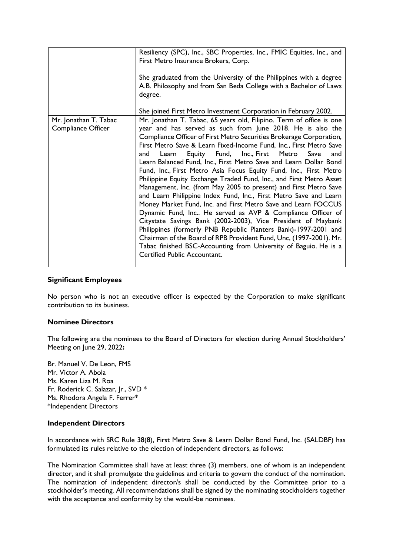|                                             | Resiliency (SPC), Inc., SBC Properties, Inc., FMIC Equities, Inc., and<br>First Metro Insurance Brokers, Corp.                                                                                                                                                                                                                                                                                                                                                                                                                                                                                                                                                                                                                                                                                                                                                                                                                                                                                                                                                                                                                                       |  |  |
|---------------------------------------------|------------------------------------------------------------------------------------------------------------------------------------------------------------------------------------------------------------------------------------------------------------------------------------------------------------------------------------------------------------------------------------------------------------------------------------------------------------------------------------------------------------------------------------------------------------------------------------------------------------------------------------------------------------------------------------------------------------------------------------------------------------------------------------------------------------------------------------------------------------------------------------------------------------------------------------------------------------------------------------------------------------------------------------------------------------------------------------------------------------------------------------------------------|--|--|
|                                             | She graduated from the University of the Philippines with a degree<br>A.B. Philosophy and from San Beda College with a Bachelor of Laws<br>degree.                                                                                                                                                                                                                                                                                                                                                                                                                                                                                                                                                                                                                                                                                                                                                                                                                                                                                                                                                                                                   |  |  |
|                                             | She joined First Metro Investment Corporation in February 2002.                                                                                                                                                                                                                                                                                                                                                                                                                                                                                                                                                                                                                                                                                                                                                                                                                                                                                                                                                                                                                                                                                      |  |  |
| Mr. Jonathan T. Tabac<br>Compliance Officer | Mr. Jonathan T. Tabac, 65 years old, Filipino. Term of office is one<br>year and has served as such from June 2018. He is also the<br>Compliance Officer of First Metro Securities Brokerage Corporation,<br>First Metro Save & Learn Fixed-Income Fund, Inc., First Metro Save<br>Equity Fund, Inc., First Metro Save<br>Learn<br>and<br>and<br>Learn Balanced Fund, Inc., First Metro Save and Learn Dollar Bond<br>Fund, Inc., First Metro Asia Focus Equity Fund, Inc., First Metro<br>Philippine Equity Exchange Traded Fund, Inc., and First Metro Asset<br>Management, Inc. (from May 2005 to present) and First Metro Save<br>and Learn Philippine Index Fund, Inc., First Metro Save and Learn<br>Money Market Fund, Inc. and First Metro Save and Learn FOCCUS<br>Dynamic Fund, Inc He served as AVP & Compliance Officer of<br>Citystate Savings Bank (2002-2003), Vice President of Maybank<br>Philippines (formerly PNB Republic Planters Bank)-1997-2001 and<br>Chairman of the Board of RPB Provident Fund, Unc, (1997-2001). Mr.<br>Tabac finished BSC-Accounting from University of Baguio. He is a<br>Certified Public Accountant. |  |  |

### **Significant Employees**

No person who is not an executive officer is expected by the Corporation to make significant contribution to its business.

### **Nominee Directors**

The following are the nominees to the Board of Directors for election during Annual Stockholders' Meeting on June 29, 2022**:**

Br. Manuel V. De Leon, FMS Mr. Victor A. Abola Ms. Karen Liza M. Roa Fr. Roderick C. Salazar, Jr., SVD \* Ms. Rhodora Angela F. Ferrer\* \*Independent Directors

#### **Independent Directors**

In accordance with SRC Rule 38(8), First Metro Save & Learn Dollar Bond Fund, Inc. (SALDBF) has formulated its rules relative to the election of independent directors, as follows:

The Nomination Committee shall have at least three (3) members, one of whom is an independent director, and it shall promulgate the guidelines and criteria to govern the conduct of the nomination. The nomination of independent director/s shall be conducted by the Committee prior to a stockholder's meeting. All recommendations shall be signed by the nominating stockholders together with the acceptance and conformity by the would-be nominees.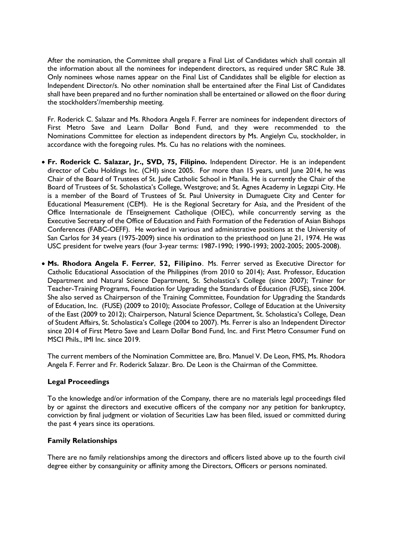After the nomination, the Committee shall prepare a Final List of Candidates which shall contain all the information about all the nominees for independent directors, as required under SRC Rule 38. Only nominees whose names appear on the Final List of Candidates shall be eligible for election as Independent Director/s. No other nomination shall be entertained after the Final List of Candidates shall have been prepared and no further nomination shall be entertained or allowed on the floor during the stockholders'/membership meeting.

Fr. Roderick C. Salazar and Ms. Rhodora Angela F. Ferrer are nominees for independent directors of First Metro Save and Learn Dollar Bond Fund, and they were recommended to the Nominations Committee for election as independent directors by Ms. Angielyn Cu, stockholder, in accordance with the foregoing rules. Ms. Cu has no relations with the nominees.

- **Fr. Roderick C. Salazar, Jr., SVD, 75, Filipino.** Independent Director. He is an independent director of Cebu Holdings Inc. (CHI) since 2005. For more than 15 years, until June 2014, he was Chair of the Board of Trustees of St. Jude Catholic School in Manila. He is currently the Chair of the Board of Trustees of St. Scholastica's College, Westgrove; and St. Agnes Academy in Legazpi City. He is a member of the Board of Trustees of St. Paul University in Dumaguete City and Center for Educational Measurement (CEM). He is the Regional Secretary for Asia, and the President of the Office Internationale de l'Enseignement Catholique (OIEC), while concurrently serving as the Executive Secretary of the Office of Education and Faith Formation of the Federation of Asian Bishops Conferences (FABC-OEFF). He worked in various and administrative positions at the University of San Carlos for 34 years (1975-2009) since his ordination to the priesthood on June 21, 1974. He was USC president for twelve years (four 3-year terms: 1987-1990; 1990-1993; 2002-2005; 2005-2008).
- **Ms. Rhodora Angela F. Ferrer**, **52, Filipino**. Ms. Ferrer served as Executive Director for Catholic Educational Association of the Philippines (from 2010 to 2014); Asst. Professor, Education Department and Natural Science Department, St. Scholastica's College (since 2007); Trainer for Teacher-Training Programs, Foundation for Upgrading the Standards of Education (FUSE), since 2004. She also served as Chairperson of the Training Committee, Foundation for Upgrading the Standards of Education, Inc. (FUSE) (2009 to 2010); Associate Professor, College of Education at the University of the East (2009 to 2012); Chairperson, Natural Science Department, St. Scholastica's College, Dean of Student Affairs, St. Scholastica's College (2004 to 2007). Ms. Ferrer is also an Independent Director since 2014 of First Metro Save and Learn Dollar Bond Fund, Inc. and First Metro Consumer Fund on MSCI Phils., IMI Inc. since 2019.

The current members of the Nomination Committee are, Bro. Manuel V. De Leon, FMS, Ms. Rhodora Angela F. Ferrer and Fr. Roderick Salazar. Bro. De Leon is the Chairman of the Committee.

## **Legal Proceedings**

To the knowledge and/or information of the Company, there are no materials legal proceedings filed by or against the directors and executive officers of the company nor any petition for bankruptcy, conviction by final judgment or violation of Securities Law has been filed, issued or committed during the past 4 years since its operations.

## **Family Relationships**

There are no family relationships among the directors and officers listed above up to the fourth civil degree either by consanguinity or affinity among the Directors, Officers or persons nominated.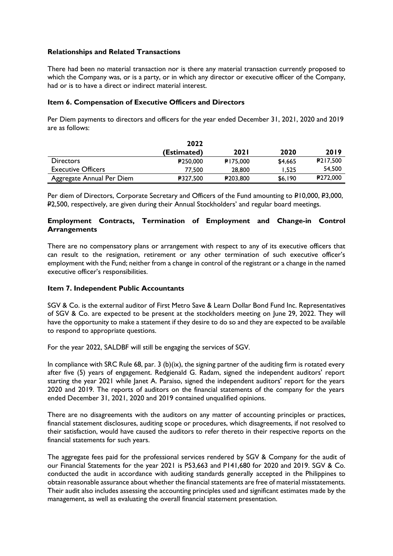### **Relationships and Related Transactions**

There had been no material transaction nor is there any material transaction currently proposed to which the Company was, or is a party, or in which any director or executive officer of the Company, had or is to have a direct or indirect material interest.

### **Item 6. Compensation of Executive Officers and Directors**

Per Diem payments to directors and officers for the year ended December 31, 2021, 2020 and 2019 are as follows:

|                           | 2022        |             |         |          |
|---------------------------|-------------|-------------|---------|----------|
|                           | (Estimated) | <b>2021</b> | 2020    | 2019     |
| <b>Directors</b>          | 250,000     | PI75,000    | \$4,665 | P217,500 |
| <b>Executive Officers</b> | 77.500      | 28,800      | I.525   | 54,500   |
| Aggregate Annual Per Diem | ₽327.500    | P203,800    | \$6.190 | ₽272,000 |

Per diem of Directors, Corporate Secretary and Officers of the Fund amounting to P10,000, P3,000, P2,500, respectively, are given during their Annual Stockholders' and regular board meetings.

### **Employment Contracts, Termination of Employment and Change-in Control Arrangements**

There are no compensatory plans or arrangement with respect to any of its executive officers that can result to the resignation, retirement or any other termination of such executive officer's employment with the Fund; neither from a change in control of the registrant or a change in the named executive officer's responsibilities.

### **Item 7. Independent Public Accountants**

SGV & Co. is the external auditor of First Metro Save & Learn Dollar Bond Fund Inc. Representatives of SGV & Co. are expected to be present at the stockholders meeting on June 29, 2022. They will have the opportunity to make a statement if they desire to do so and they are expected to be available to respond to appropriate questions.

For the year 2022, SALDBF will still be engaging the services of SGV.

In compliance with SRC Rule 68, par. 3 (b)(ix), the signing partner of the auditing firm is rotated every after five (5) years of engagement. Redgienald G. Radam, signed the independent auditors' report starting the year 2021 while Janet A. Paraiso, signed the independent auditors' report for the years 2020 and 2019. The reports of auditors on the financial statements of the company for the years ended December 31, 2021, 2020 and 2019 contained unqualified opinions.

There are no disagreements with the auditors on any matter of accounting principles or practices, financial statement disclosures, auditing scope or procedures, which disagreements, if not resolved to their satisfaction, would have caused the auditors to refer thereto in their respective reports on the financial statements for such years.

The aggregate fees paid for the professional services rendered by SGV & Company for the audit of our Financial Statements for the year 2021 is P53,663 and P141,680 for 2020 and 2019. SGV & Co. conducted the audit in accordance with auditing standards generally accepted in the Philippines to obtain reasonable assurance about whether the financial statements are free of material misstatements. Their audit also includes assessing the accounting principles used and significant estimates made by the management, as well as evaluating the overall financial statement presentation.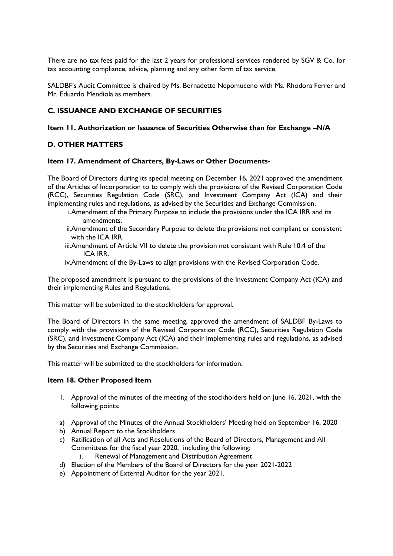There are no tax fees paid for the last 2 years for professional services rendered by SGV & Co. for tax accounting compliance, advice, planning and any other form of tax service.

SALDBF's Audit Committee is chaired by Ms. Bernadette Nepomuceno with Ms. Rhodora Ferrer and Mr. Eduardo Mendiola as members.

## **C. ISSUANCE AND EXCHANGE OF SECURITIES**

### **Item 11. Authorization or Issuance of Securities Otherwise than for Exchange –N/A**

## **D. OTHER MATTERS**

#### **Item 17. Amendment of Charters, By-Laws or Other Documents-**

The Board of Directors during its special meeting on December 16, 2021 approved the amendment of the Articles of Incorporation to to comply with the provisions of the Revised Corporation Code (RCC), Securities Regulation Code (SRC), and Investment Company Act (ICA) and their implementing rules and regulations, as advised by the Securities and Exchange Commission.

- i.Amendment of the Primary Purpose to include the provisions under the ICA IRR and its amendments.
- ii.Amendment of the Secondary Purpose to delete the provisions not compliant or consistent with the ICA IRR.
- iii.Amendment of Article VII to delete the provision not consistent with Rule 10.4 of the ICA IRR.
- iv.Amendment of the By-Laws to align provisions with the Revised Corporation Code.

The proposed amendment is pursuant to the provisions of the Investment Company Act (ICA) and their implementing Rules and Regulations.

This matter will be submitted to the stockholders for approval.

The Board of Directors in the same meeting, approved the amendment of SALDBF By-Laws to comply with the provisions of the Revised Corporation Code (RCC), Securities Regulation Code (SRC), and Investment Company Act (ICA) and their implementing rules and regulations, as advised by the Securities and Exchange Commission.

This matter will be submitted to the stockholders for information.

#### **Item 18. Other Proposed Item**

- 1. Approval of the minutes of the meeting of the stockholders held on June 16, 2021, with the following points:
- a) Approval of the Minutes of the Annual Stockholders' Meeting held on September 16, 2020
- b) Annual Report to the Stockholders
- c) Ratification of all Acts and Resolutions of the Board of Directors, Management and All Committees for the fiscal year 2020, including the following:
	- i. Renewal of Management and Distribution Agreement
- d) Election of the Members of the Board of Directors for the year 2021-2022
- e) Appointment of External Auditor for the year 2021.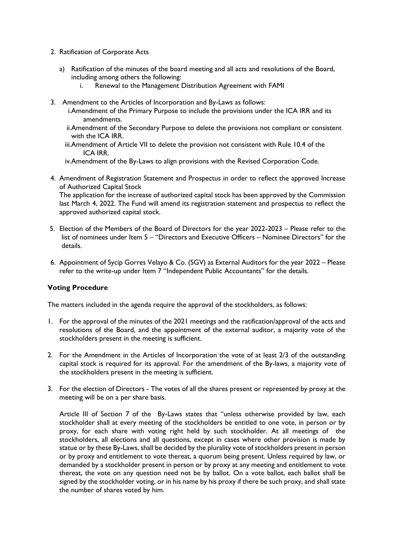- 2. Ratification of Corporate Acts
	- a) Ratification of the minutes of the board meeting and all acts and resolutions of the Board, including among others the following:
		- i. Renewal to the Management Distribution Agreement with FAMI
- 3. Amendment to the Articles of Incorporation and By-Laws as follows:
	- i.Amendment of the Primary Purpose to include the provisions under the ICA IRR and its amendments.
	- ii.Amendment of the Secondary Purpose to delete the provisions not compliant or consistent with the ICA IRR.
	- iii.Amendment of Article VII to delete the provision not consistent with Rule 10.4 of the ICA IRR.
	- iv.Amendment of the By-Laws to align provisions with the Revised Corporation Code.
- 4. Amendment of Registration Statement and Prospectus in order to reflect the approved Increase of Authorized Capital Stock

The application for the increase of authorized capital stock has been approved by the Commission last March 4, 2022. The Fund will amend its registration statement and prospectus to reflect the approved authorized capital stock.

- 5. Election of the Members of the Board of Directors for the year 2022-2023 Please refer to the list of nominees under Item 5 – "Directors and Executive Officers – Nominee Directors" for the details.
- 6. Appointment of Sycip Gorres Velayo & Co. (SGV) as External Auditors for the year 2022 Please refer to the write-up under Item 7 "Independent Public Accountants" for the details.

## **Voting Procedure**

The matters included in the agenda require the approval of the stockholders, as follows:

- 1. For the approval of the minutes of the 2021 meetings and the ratification/approval of the acts and resolutions of the Board, and the appointment of the external auditor, a majority vote of the stockholders present in the meeting is sufficient.
- 2. For the Amendment in the Articles of Incorporation the vote of at least 2/3 of the outstanding capital stock is required for its approval. For the amendment of the By-laws, a majority vote of the stockholders present in the meeting is sufficient.
- 3. For the election of Directors The votes of all the shares present or represented by proxy at the meeting will be on a per share basis.

Article III of Section 7 of the By-Laws states that "unless otherwise provided by law, each stockholder shall at every meeting of the stockholders be entitled to one vote, in person or by proxy, for each share with voting right held by such stockholder. At all meetings of the stockholders, all elections and all questions, except in cases where other provision is made by statue or by these By-Laws, shall be decided by the plurality vote of stockholders present in person or by proxy and entitlement to vote thereat, a quorum being present. Unless required by law, or demanded by a stockholder present in person or by proxy at any meeting and entitlement to vote thereat, the vote on any question need not be by ballot. On a vote ballot, each ballot shall be signed by the stockholder voting, or in his name by his proxy if there be such proxy, and shall state the number of shares voted by him.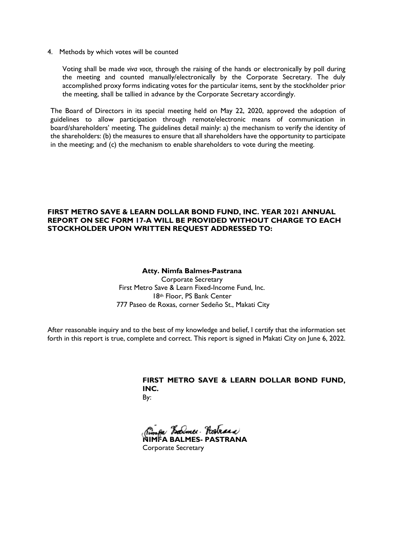4. Methods by which votes will be counted

Voting shall be made *viva voce,* through the raising of the hands or electronically by poll during the meeting and counted manually/electronically by the Corporate Secretary. The duly accomplished proxy forms indicating votes for the particular items, sent by the stockholder prior the meeting, shall be tallied in advance by the Corporate Secretary accordingly.

The Board of Directors in its special meeting held on May 22, 2020, approved the adoption of guidelines to allow participation through remote/electronic means of communication in board/shareholders' meeting. The guidelines detail mainly: a) the mechanism to verify the identity of the shareholders: (b) the measures to ensure that all shareholders have the opportunity to participate in the meeting; and (c) the mechanism to enable shareholders to vote during the meeting.

### **FIRST METRO SAVE & LEARN DOLLAR BOND FUND, INC. YEAR 2021 ANNUAL REPORT ON SEC FORM 17-A WILL BE PROVIDED WITHOUT CHARGE TO EACH STOCKHOLDER UPON WRITTEN REQUEST ADDRESSED TO:**

#### **Atty. Nimfa Balmes-Pastrana**

Corporate Secretary First Metro Save & Learn Fixed-Income Fund, Inc. 18th Floor, PS Bank Center 777 Paseo de Roxas, corner Sedeño St., Makati City

After reasonable inquiry and to the best of my knowledge and belief, I certify that the information set forth in this report is true, complete and correct. This report is signed in Makati City on June 6, 2022.

# **FIRST METRO SAVE & LEARN DOLLAR BOND FUND, INC.**

By:

Barmer . Hostrana **NIMFA BALMES- PASTRANA** 

Corporate Secretary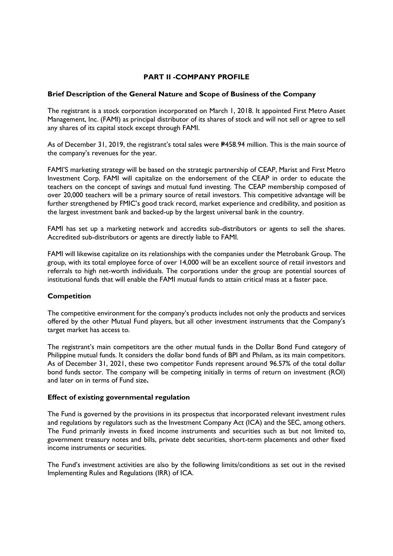## **PART II -COMPANY PROFILE**

#### **Brief Description of the General Nature and Scope of Business of the Company**

The registrant is a stock corporation incorporated on March 1, 2018. It appointed First Metro Asset Management, Inc. (FAMI) as principal distributor of its shares of stock and will not sell or agree to sell any shares of its capital stock except through FAMI.

As of December 31, 2019, the registrant's total sales were  $P458.94$  million. This is the main source of the company's revenues for the year.

FAMI'S marketing strategy will be based on the strategic partnership of CEAP, Marist and First Metro Investment Corp. FAMI will capitalize on the endorsement of the CEAP in order to educate the teachers on the concept of savings and mutual fund investing. The CEAP membership composed of over 20,000 teachers will be a primary source of retail investors. This competitive advantage will be further strengthened by FMIC's good track record, market experience and credibility, and position as the largest investment bank and backed-up by the largest universal bank in the country.

FAMI has set up a marketing network and accredits sub-distributors or agents to sell the shares. Accredited sub-distributors or agents are directly liable to FAMI.

FAMI will likewise capitalize on its relationships with the companies under the Metrobank Group. The group, with its total employee force of over 14,000 will be an excellent source of retail investors and referrals to high net-worth individuals. The corporations under the group are potential sources of institutional funds that will enable the FAMI mutual funds to attain critical mass at a faster pace.

## **Competition**

The competitive environment for the company's products includes not only the products and services offered by the other Mutual Fund players, but all other investment instruments that the Company's target market has access to.

The registrant's main competitors are the other mutual funds in the Dollar Bond Fund category of Philippine mutual funds. It considers the dollar bond funds of BPI and Philam, as its main competitors. As of December 31, 2021, these two competitor Funds represent around 96.57% of the total dollar bond funds sector. The company will be competing initially in terms of return on investment (ROI) and later on in terms of Fund size**.** 

#### **Effect of existing governmental regulation**

The Fund is governed by the provisions in its prospectus that incorporated relevant investment rules and regulations by regulators such as the Investment Company Act (ICA) and the SEC, among others. The Fund primarily invests in fixed income instruments and securities such as but not limited to, government treasury notes and bills, private debt securities, short-term placements and other fixed income instruments or securities.

The Fund's investment activities are also by the following limits/conditions as set out in the revised Implementing Rules and Regulations (IRR) of ICA.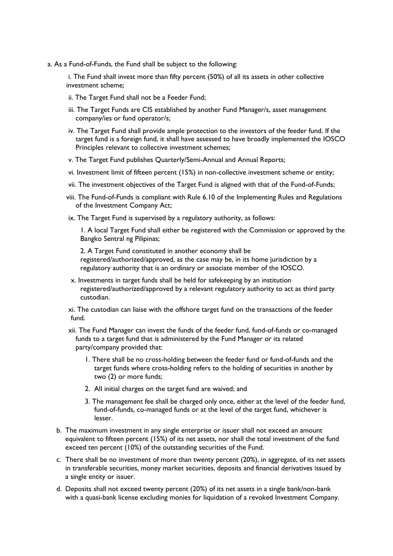a. As a Fund-of-Funds, the Fund shall be subject to the following:

i. The Fund shall invest more than fifty percent (50%) of all its assets in other collective investment scheme;

- ii. The Target Fund shall not be a Feeder Fund;
- iii. The Target Funds are CIS established by another Fund Manager/s, asset management company/ies or fund operator/s;
- iv. The Target Fund shall provide ample protection to the investors of the feeder fund. If the target fund is a foreign fund, it shall have assessed to have broadly implemented the IOSCO Principles relevant to collective investment schemes;
- v. The Target Fund publishes Quarterly/Semi-Annual and Annual Reports;
- vi. Investment limit of fifteen percent (15%) in non-collective investment scheme or entity;
- vii. The investment objectives of the Target Fund is aligned with that of the Fund-of-Funds;
- viii. The Fund-of-Funds is compliant with Rule 6.10 of the Implementing Rules and Regulations of the Investment Company Act;
- ix. The Target Fund is supervised by a regulatory authority, as follows:

1. A local Target Fund shall either be registered with the Commission or approved by the Bangko Sentral ng Pilipinas;

2. A Target Fund constituted in another economy shall be registered/authorized/approved, as the case may be, in its home jurisdiction by a regulatory authority that is an ordinary or associate member of the IOSCO.

x. Investments in target funds shall be held for safekeeping by an institution registered/authorized/approved by a relevant regulatory authority to act as third party custodian.

xi. The custodian can liaise with the offshore target fund on the transactions of the feeder fund.

- xii. The Fund Manager can invest the funds of the feeder fund, fund-of-funds or co-managed funds to a target fund that is administered by the Fund Manager or its related party/company provided that:
	- 1. There shall be no cross-holding between the feeder fund or fund-of-funds and the target funds where cross-holding refers to the holding of securities in another by two (2) or more funds;
	- 2. All initial charges on the target fund are waived; and
	- 3. The management fee shall be charged only once, either at the level of the feeder fund, fund-of-funds, co-managed funds or at the level of the target fund, whichever is lesser.
- b. The maximum investment in any single enterprise or issuer shall not exceed an amount equivalent to fifteen percent (15%) of its net assets, nor shall the total investment of the fund exceed ten percent (10%) of the outstanding securities of the Fund.
- c. There shall be no investment of more than twenty percent (20%), in aggregate, of its net assets in transferable securities, money market securities, deposits and financial derivatives issued by a single entity or issuer.
- d. Deposits shall not exceed twenty percent (20%) of its net assets in a single bank/non-bank with a quasi-bank license excluding monies for liquidation of a revoked Investment Company.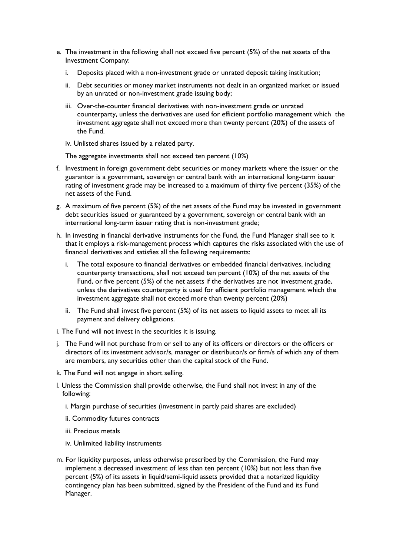- e. The investment in the following shall not exceed five percent (5%) of the net assets of the Investment Company:
	- i. Deposits placed with a non-investment grade or unrated deposit taking institution;
	- ii. Debt securities or money market instruments not dealt in an organized market or issued by an unrated or non-investment grade issuing body;
	- iii. Over-the-counter financial derivatives with non-investment grade or unrated counterparty, unless the derivatives are used for efficient portfolio management which the investment aggregate shall not exceed more than twenty percent (20%) of the assets of the Fund.
	- iv. Unlisted shares issued by a related party.

The aggregate investments shall not exceed ten percent (10%)

- f. Investment in foreign government debt securities or money markets where the issuer or the guarantor is a government, sovereign or central bank with an international long-term issuer rating of investment grade may be increased to a maximum of thirty five percent (35%) of the net assets of the Fund.
- g. A maximum of five percent (5%) of the net assets of the Fund may be invested in government debt securities issued or guaranteed by a government, sovereign or central bank with an international long-term issuer rating that is non-investment grade;
- h. In investing in financial derivative instruments for the Fund, the Fund Manager shall see to it that it employs a risk-management process which captures the risks associated with the use of financial derivatives and satisfies all the following requirements:
	- i. The total exposure to financial derivatives or embedded financial derivatives, including counterparty transactions, shall not exceed ten percent (10%) of the net assets of the Fund, or five percent (5%) of the net assets if the derivatives are not investment grade, unless the derivatives counterparty is used for efficient portfolio management which the investment aggregate shall not exceed more than twenty percent (20%)
	- ii. The Fund shall invest five percent (5%) of its net assets to liquid assets to meet all its payment and delivery obligations.
- i. The Fund will not invest in the securities it is issuing.
- j. The Fund will not purchase from or sell to any of its officers or directors or the officers or directors of its investment advisor/s, manager or distributor/s or firm/s of which any of them are members, any securities other than the capital stock of the Fund.
- k. The Fund will not engage in short selling.
- l. Unless the Commission shall provide otherwise, the Fund shall not invest in any of the following:
	- i. Margin purchase of securities (investment in partly paid shares are excluded)
	- ii. Commodity futures contracts
	- iii. Precious metals
	- iv. Unlimited liability instruments
- m. For liquidity purposes, unless otherwise prescribed by the Commission, the Fund may implement a decreased investment of less than ten percent (10%) but not less than five percent (5%) of its assets in liquid/semi-liquid assets provided that a notarized liquidity contingency plan has been submitted, signed by the President of the Fund and its Fund Manager.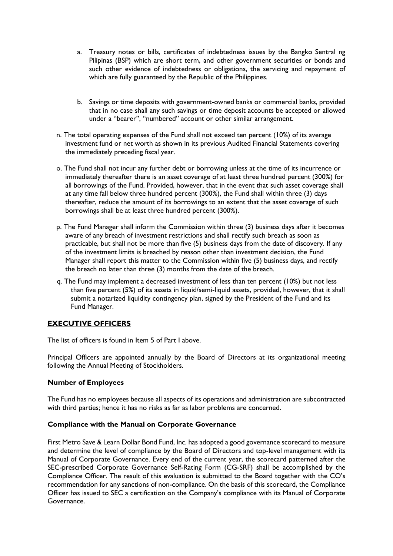- a. Treasury notes or bills, certificates of indebtedness issues by the Bangko Sentral ng Pilipinas (BSP) which are short term, and other government securities or bonds and such other evidence of indebtedness or obligations, the servicing and repayment of which are fully guaranteed by the Republic of the Philippines.
- b. Savings or time deposits with government-owned banks or commercial banks, provided that in no case shall any such savings or time deposit accounts be accepted or allowed under a "bearer", "numbered" account or other similar arrangement.
- n. The total operating expenses of the Fund shall not exceed ten percent (10%) of its average investment fund or net worth as shown in its previous Audited Financial Statements covering the immediately preceding fiscal year.
- o. The Fund shall not incur any further debt or borrowing unless at the time of its incurrence or immediately thereafter there is an asset coverage of at least three hundred percent (300%) for all borrowings of the Fund. Provided, however, that in the event that such asset coverage shall at any time fall below three hundred percent (300%), the Fund shall within three (3) days thereafter, reduce the amount of its borrowings to an extent that the asset coverage of such borrowings shall be at least three hundred percent (300%).
- p. The Fund Manager shall inform the Commission within three (3) business days after it becomes aware of any breach of investment restrictions and shall rectify such breach as soon as practicable, but shall not be more than five (5) business days from the date of discovery. If any of the investment limits is breached by reason other than investment decision, the Fund Manager shall report this matter to the Commission within five (5) business days, and rectify the breach no later than three (3) months from the date of the breach.
- q. The Fund may implement a decreased investment of less than ten percent (10%) but not less than five percent (5%) of its assets in liquid/semi-liquid assets, provided, however, that it shall submit a notarized liquidity contingency plan, signed by the President of the Fund and its Fund Manager.

## **EXECUTIVE OFFICERS**

The list of officers is found in Item 5 of Part I above.

Principal Officers are appointed annually by the Board of Directors at its organizational meeting following the Annual Meeting of Stockholders.

## **Number of Employees**

The Fund has no employees because all aspects of its operations and administration are subcontracted with third parties; hence it has no risks as far as labor problems are concerned.

## **Compliance with the Manual on Corporate Governance**

First Metro Save & Learn Dollar Bond Fund, Inc. has adopted a good governance scorecard to measure and determine the level of compliance by the Board of Directors and top-level management with its Manual of Corporate Governance. Every end of the current year, the scorecard patterned after the SEC-prescribed Corporate Governance Self-Rating Form (CG-SRF) shall be accomplished by the Compliance Officer. The result of this evaluation is submitted to the Board together with the CO's recommendation for any sanctions of non-compliance. On the basis of this scorecard, the Compliance Officer has issued to SEC a certification on the Company's compliance with its Manual of Corporate Governance.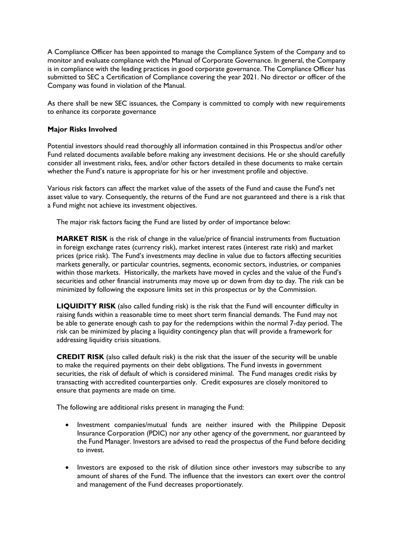A Compliance Officer has been appointed to manage the Compliance System of the Company and to monitor and evaluate compliance with the Manual of Corporate Governance. In general, the Company is in compliance with the leading practices in good corporate governance. The Compliance Officer has submitted to SEC a Certification of Compliance covering the year 2021. No director or officer of the Company was found in violation of the Manual.

As there shall be new SEC issuances, the Company is committed to comply with new requirements to enhance its corporate governance

### **Major Risks Involved**

Potential investors should read thoroughly all information contained in this Prospectus and/or other Fund related documents available before making any investment decisions. He or she should carefully consider all investment risks, fees, and/or other factors detailed in these documents to make certain whether the Fund's nature is appropriate for his or her investment profile and objective.

Various risk factors can affect the market value of the assets of the Fund and cause the Fund's net asset value to vary. Consequently, the returns of the Fund are not guaranteed and there is a risk that a Fund might not achieve its investment objectives.

The major risk factors facing the Fund are listed by order of importance below:

**MARKET RISK** is the risk of change in the value/price of financial instruments from fluctuation in foreign exchange rates (currency risk), market interest rates (interest rate risk) and market prices (price risk). The Fund's investments may decline in value due to factors affecting securities markets generally, or particular countries, segments, economic sectors, industries, or companies within those markets. Historically, the markets have moved in cycles and the value of the Fund's securities and other financial instruments may move up or down from day to day. The risk can be minimized by following the exposure limits set in this prospectus or by the Commission.

**LIQUIDITY RISK** (also called funding risk) is the risk that the Fund will encounter difficulty in raising funds within a reasonable time to meet short term financial demands. The Fund may not be able to generate enough cash to pay for the redemptions within the normal 7-day period. The risk can be minimized by placing a liquidity contingency plan that will provide a framework for addressing liquidity crisis situations.

**CREDIT RISK** (also called default risk) is the risk that the issuer of the security will be unable to make the required payments on their debt obligations. The Fund invests in government securities, the risk of default of which is considered minimal. The Fund manages credit risks by transacting with accredited counterparties only. Credit exposures are closely monitored to ensure that payments are made on time.

The following are additional risks present in managing the Fund:

- Investment companies/mutual funds are neither insured with the Philippine Deposit Insurance Corporation (PDIC) nor any other agency of the government, nor guaranteed by the Fund Manager. Investors are advised to read the prospectus of the Fund before deciding to invest.
- Investors are exposed to the risk of dilution since other investors may subscribe to any amount of shares of the Fund. The influence that the investors can exert over the control and management of the Fund decreases proportionately.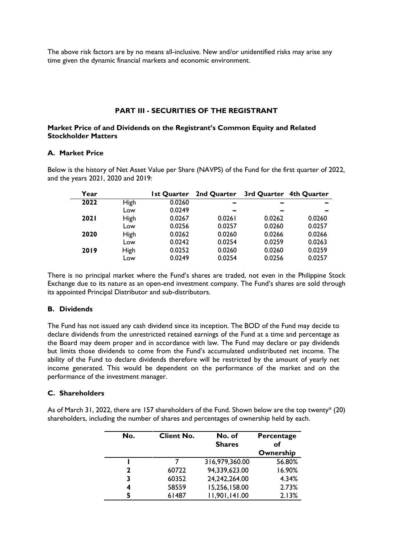The above risk factors are by no means all-inclusive. New and/or unidentified risks may arise any time given the dynamic financial markets and economic environment.

#### **PART III - SECURITIES OF THE REGISTRANT**

### **Market Price of and Dividends on the Registrant's Common Equity and Related Stockholder Matters**

### **A. Market Price**

Below is the history of Net Asset Value per Share (NAVPS) of the Fund for the first quarter of 2022, and the years 2021, 2020 and 2019:

| Year        |      | <b>Ist Quarter</b> | 2nd Quarter | 3rd Quarter 4th Quarter |        |
|-------------|------|--------------------|-------------|-------------------------|--------|
| 2022        | High | 0.0260             | -           | -                       | -      |
|             | Low  | 0.0249             | -           | -                       |        |
| <b>2021</b> | High | 0.0267             | 0.0261      | 0.0262                  | 0.0260 |
|             | Low  | 0.0256             | 0.0257      | 0.0260                  | 0.0257 |
| 2020        | High | 0.0262             | 0.0260      | 0.0266                  | 0.0266 |
|             | Low  | 0.0242             | 0.0254      | 0.0259                  | 0.0263 |
| 2019        | High | 0.0252             | 0.0260      | 0.0260                  | 0.0259 |
|             | Low  | 0.0249             | 0.0254      | 0.0256                  | 0.0257 |

There is no principal market where the Fund's shares are traded, not even in the Philippine Stock Exchange due to its nature as an open-end investment company. The Fund's shares are sold through its appointed Principal Distributor and sub-distributors.

### **B. Dividends**

The Fund has not issued any cash dividend since its inception. The BOD of the Fund may decide to declare dividends from the unrestricted retained earnings of the Fund at a time and percentage as the Board may deem proper and in accordance with law. The Fund may declare or pay dividends but limits those dividends to come from the Fund's accumulated undistributed net income. The ability of the Fund to declare dividends therefore will be restricted by the amount of yearly net income generated. This would be dependent on the performance of the market and on the performance of the investment manager.

#### **C. Shareholders**

As of March 31, 2022, there are 157 shareholders of the Fund. Shown below are the top twenty\* (20) shareholders, including the number of shares and percentages of ownership held by each.

| No. | <b>Client No.</b> | No. of<br><b>Shares</b> | Percentage<br>of |
|-----|-------------------|-------------------------|------------------|
|     |                   |                         | Ownership        |
|     |                   | 316,979,360.00          | 56.80%           |
| 2   | 60722             | 94,339,623.00           | 16.90%           |
| 3   | 60352             | 24,242,264.00           | 4.34%            |
| 4   | 58559             | 15,256,158.00           | 2.73%            |
| 5   | 61487             | 11,901,141.00           | 2.13%            |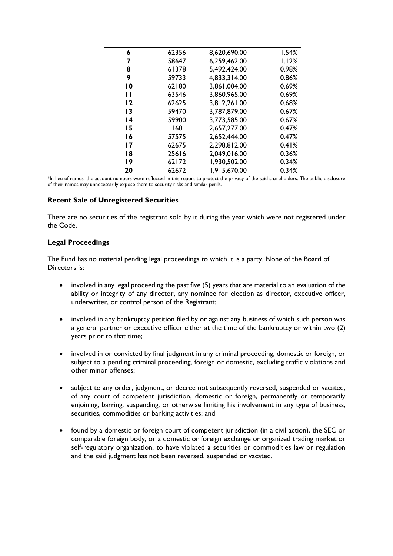| 6               | 62356 | 8,620,690.00 | 1.54% |
|-----------------|-------|--------------|-------|
| 7               | 58647 | 6,259,462.00 | 1.12% |
| 8               | 61378 | 5,492,424.00 | 0.98% |
| 9               | 59733 | 4,833,314.00 | 0.86% |
| $\overline{0}$  | 62180 | 3,861,004.00 | 0.69% |
| $\mathbf{H}$    | 63546 | 3,860,965.00 | 0.69% |
| 12              | 62625 | 3,812,261.00 | 0.68% |
| 13              | 59470 | 3,787,879.00 | 0.67% |
| $\overline{14}$ | 59900 | 3,773,585.00 | 0.67% |
| 15              | 160   | 2,657,277.00 | 0.47% |
| 16              | 57575 | 2,652,444.00 | 0.47% |
| 17              | 62675 | 2,298,812.00 | 0.41% |
| 18              | 25616 | 2.049,016.00 | 0.36% |
| 19              | 62172 | 1,930,502.00 | 0.34% |
| 20              | 62672 | 1,915,670.00 | 0.34% |

\*In lieu of names, the account numbers were reflected in this report to protect the privacy of the said shareholders. The public disclosure of their names may unnecessarily expose them to security risks and similar perils.

#### **Recent Sale of Unregistered Securities**

There are no securities of the registrant sold by it during the year which were not registered under the Code.

### **Legal Proceedings**

The Fund has no material pending legal proceedings to which it is a party. None of the Board of Directors is:

- involved in any legal proceeding the past five (5) years that are material to an evaluation of the ability or integrity of any director, any nominee for election as director, executive officer, underwriter, or control person of the Registrant;
- involved in any bankruptcy petition filed by or against any business of which such person was a general partner or executive officer either at the time of the bankruptcy or within two (2) years prior to that time;
- involved in or convicted by final judgment in any criminal proceeding, domestic or foreign, or subject to a pending criminal proceeding, foreign or domestic, excluding traffic violations and other minor offenses;
- subject to any order, judgment, or decree not subsequently reversed, suspended or vacated, of any court of competent jurisdiction, domestic or foreign, permanently or temporarily enjoining, barring, suspending, or otherwise limiting his involvement in any type of business, securities, commodities or banking activities; and
- found by a domestic or foreign court of competent jurisdiction (in a civil action), the SEC or comparable foreign body, or a domestic or foreign exchange or organized trading market or self-regulatory organization, to have violated a securities or commodities law or regulation and the said judgment has not been reversed, suspended or vacated.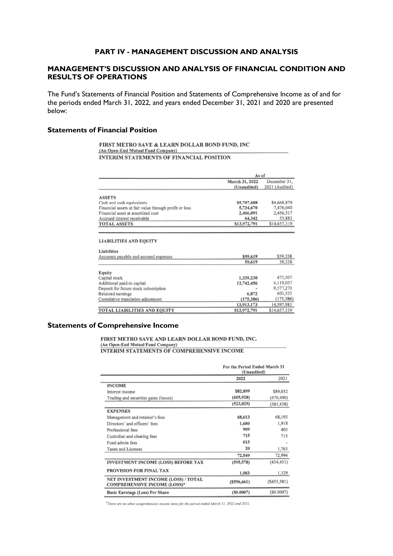#### **PART IV - MANAGEMENT DISCUSSION AND ANALYSIS**

### **MANAGEMENT'S DISCUSSION AND ANALYSIS OF FINANCIAL CONDITION AND RESULTS OF OPERATIONS**

The Fund's Statements of Financial Position and Statements of Comprehensive Income as of and for the periods ended March 31, 2022, and years ended December 31, 2021 and 2020 are presented below:

#### **Statements of Financial Position**

#### FIRST METRO SAVE & LEARN DOLLAR BOND FUND, INC (An Open-End Mutual Fund Company) INTERIM STATEMENTS OF FINANCIAL POSITION

|                                                                                                                                                | As of          |                          |
|------------------------------------------------------------------------------------------------------------------------------------------------|----------------|--------------------------|
|                                                                                                                                                | March 31, 2022 | December 31,             |
|                                                                                                                                                | (Unaudited)    | 2021 (Audited)           |
| <b>ASSETS</b>                                                                                                                                  |                |                          |
| Cash and cash equivalents                                                                                                                      | \$5,707,688    | \$4,668,879              |
| Financial assets at fair value through profit or loss                                                                                          | 5,734,670      | 7,476,040                |
| Financial asset at amortized cost                                                                                                              | 2,466,091      | 2,456,517                |
| Accrued interest receivable                                                                                                                    | 64,342         | 55,883                   |
| <b>TOTAL ASSETS</b>                                                                                                                            | \$13,972,791   | \$14,657,319             |
| <b>LIABILITIES AND EQUITY</b><br><b>Liabilities</b>                                                                                            |                |                          |
| Accounts payable and accrued expenses                                                                                                          | \$59,619       | \$59,338                 |
|                                                                                                                                                | 59.619         | 59.338                   |
|                                                                                                                                                |                |                          |
|                                                                                                                                                |                |                          |
| Equity                                                                                                                                         | 1,339,230      | 473,507                  |
|                                                                                                                                                | 12,742,456     | 4,119,057                |
|                                                                                                                                                |                | 9,577,270                |
|                                                                                                                                                | 6,872          | 603,533                  |
|                                                                                                                                                | (175, 386)     |                          |
| Capital stock<br>Additional paid-in capital<br>Deposit for future stock subscription<br>Retained earnings<br>Cumulative translation adjustment | 13,913,173     | (175, 386)<br>14,597,981 |

#### **Statements of Comprehensive Income**

FIRST METRO SAVE AND LEARN DOLLAR BOND FUND, INC. AND DELEM MUTUAL FUND COMPANY SOLLING SONS FORS,

|                                                                             | For the Period Ended March 31<br>(Unaudited) |             |
|-----------------------------------------------------------------------------|----------------------------------------------|-------------|
|                                                                             | 2022                                         | 2021        |
| <b>INCOME</b>                                                               |                                              |             |
| Interest income                                                             | \$82,899                                     | \$89,032    |
| Trading and securities gains (losses)                                       | (605, 928)                                   | (470, 490)  |
|                                                                             | (523, 029)                                   | (381, 458)  |
| <b>EXPENSES</b>                                                             |                                              |             |
| Management and retainer's fees                                              | 68,613                                       | 68,193      |
| Directors' and officers' fees                                               | 1,680                                        | 1,918       |
| Professional fees                                                           | 909                                          | 405         |
| Custodian and clearing fees                                                 | 715                                          | 715         |
| Fund admin fees                                                             | 613                                          |             |
| Taxes and Licenses                                                          | 20                                           | 1,763       |
|                                                                             | 72.549                                       | 72,994      |
| <b>INVESTMENT INCOME (LOSS) BEFORE TAX</b>                                  | (595, 578)                                   | (454, 451)  |
| PROVISION FOR FINAL TAX                                                     | 1,083                                        | 1,129       |
| NET INVESTMENT INCOME (LOSS) / TOTAL<br><b>COMPREHENSIVE INCOME (LOSS)*</b> | $($ \$596,661)                               | (S455, 581) |
| <b>Basic Earnings (Loss) Per Share</b>                                      | (S0.0007)                                    | (S0.0007)   |

\*There are no other comprehensive income items for the period ended March 31, 2022 and 2021.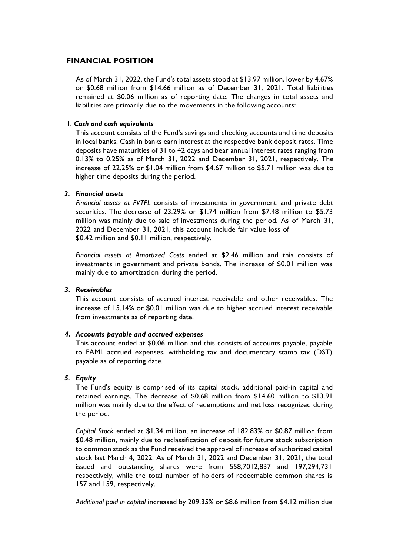### **FINANCIAL POSITION**

As of March 31, 2022, the Fund's total assets stood at \$13.97 million, lower by 4.67% or \$0.68 million from \$14.66 million as of December 31, 2021. Total liabilities remained at \$0.06 million as of reporting date. The changes in total assets and liabilities are primarily due to the movements in the following accounts:

### 1. *Cash and cash equivalents*

This account consists of the Fund's savings and checking accounts and time deposits in local banks. Cash in banks earn interest at the respective bank deposit rates. Time deposits have maturities of 31 to 42 days and bear annual interest rates ranging from 0.13% to 0.25% as of March 31, 2022 and December 31, 2021, respectively. The increase of 22.25% or \$1.04 million from \$4.67 million to \$5.71 million was due to higher time deposits during the period.

### *2. Financial assets*

*Financial assets at FVTPL* consists of investments in government and private debt securities. The decrease of 23.29% or \$1.74 million from \$7.48 million to \$5.73 million was mainly due to sale of investments during the period. As of March 31, 2022 and December 31, 2021, this account include fair value loss of \$0.42 million and \$0.11 million, respectively.

*Financial assets at Amortized Costs* ended at \$2.46 million and this consists of investments in government and private bonds. The increase of \$0.01 million was mainly due to amortization during the period.

#### *3. Receivables*

This account consists of accrued interest receivable and other receivables. The increase of 15.14% or \$0.01 million was due to higher accrued interest receivable from investments as of reporting date.

#### *4. Accounts payable and accrued expenses*

This account ended at \$0.06 million and this consists of accounts payable, payable to FAMI, accrued expenses, withholding tax and documentary stamp tax (DST) payable as of reporting date.

#### *5. Equity*

The Fund's equity is comprised of its capital stock, additional paid-in capital and retained earnings. The decrease of \$0.68 million from \$14.60 million to \$13.91 million was mainly due to the effect of redemptions and net loss recognized during the period.

*Capital Stock* ended at \$1.34 million, an increase of 182.83% or \$0.87 million from \$0.48 million, mainly due to reclassification of deposit for future stock subscription to common stock as the Fund received the approval of increase of authorized capital stock last March 4, 2022. As of March 31, 2022 and December 31, 2021, the total issued and outstanding shares were from 558,7012,837 and 197,294,731 respectively, while the total number of holders of redeemable common shares is 157 and 159, respectively.

*Additional paid in capital* increased by 209.35% or \$8.6 million from \$4.12 million due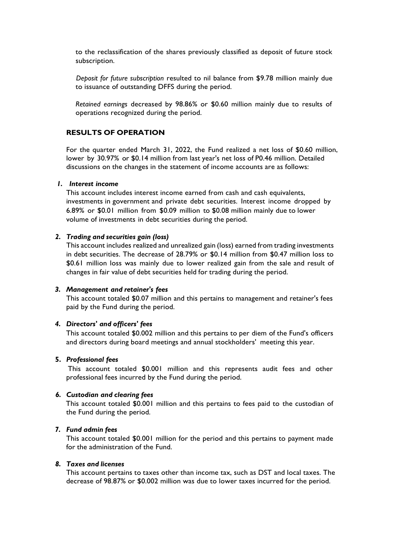to the reclassification of the shares previously classified as deposit of future stock subscription.

*Deposit for future subscription* resulted to nil balance from \$9.78 million mainly due to issuance of outstanding DFFS during the period.

*Retained earnings* decreased by 98.86% or \$0.60 million mainly due to results of operations recognized during the period.

### **RESULTS OF OPERATION**

For the quarter ended March 31, 2022, the Fund realized a net loss of \$0.60 million, lower by 30.97% or \$0.14 million from last year's net loss of P0.46 million. Detailed discussions on the changes in the statement of income accounts are as follows:

#### *1. Interest income*

This account includes interest income earned from cash and cash equivalents, investments in government and private debt securities. Interest income dropped by 6.89% or \$0.01 million from \$0.09 million to \$0.08 million mainly due to lower volume of investments in debt securities during the period.

#### *2. Trading and securities gain (loss)*

This account includes realized and unrealized gain (loss) earned from trading investments in debt securities. The decrease of 28.79% or \$0.14 million from \$0.47 million loss to \$0.61 million loss was mainly due to lower realized gain from the sale and result of changes in fair value of debt securities held for trading during the period.

#### *3. Management and retainer's fees*

This account totaled \$0.07 million and this pertains to management and retainer's fees paid by the Fund during the period.

#### *4. Directors' and officers' fees*

This account totaled \$0.002 million and this pertains to per diem of the Fund's officers and directors during board meetings and annual stockholders' meeting this year.

#### **5.** *Professional fees*

This account totaled \$0.001 million and this represents audit fees and other professional fees incurred by the Fund during the period.

#### *6. Custodian and clearing fees*

This account totaled \$0.001 million and this pertains to fees paid to the custodian of the Fund during the period.

#### *7. Fund admin fees*

This account totaled \$0.001 million for the period and this pertains to payment made for the administration of the Fund.

#### *8. Taxes and licenses*

This account pertains to taxes other than income tax, such as DST and local taxes. The decrease of 98.87% or \$0.002 million was due to lower taxes incurred for the period.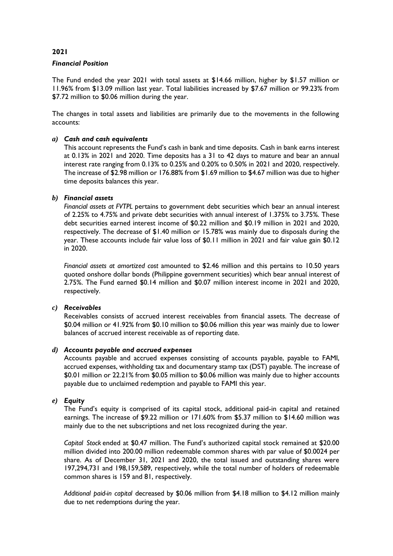### **2021**

#### *Financial Position*

The Fund ended the year 2021 with total assets at \$14.66 million, higher by \$1.57 million or 11.96% from \$13.09 million last year. Total liabilities increased by \$7.67 million or 99.23% from \$7.72 million to \$0.06 million during the year.

The changes in total assets and liabilities are primarily due to the movements in the following accounts:

#### *a) Cash and cash equivalents*

This account represents the Fund's cash in bank and time deposits. Cash in bank earns interest at 0.13% in 2021 and 2020. Time deposits has a 31 to 42 days to mature and bear an annual interest rate ranging from 0.13% to 0.25% and 0.20% to 0.50% in 2021 and 2020, respectively. The increase of \$2.98 million or 176.88% from \$1.69 million to \$4.67 million was due to higher time deposits balances this year.

#### *b) Financial assets*

*Financial assets at FVTPL* pertains to government debt securities which bear an annual interest of 2.25% to 4.75% and private debt securities with annual interest of 1.375% to 3.75%. These debt securities earned interest income of \$0.22 million and \$0.19 million in 2021 and 2020, respectively. The decrease of \$1.40 million or 15.78% was mainly due to disposals during the year. These accounts include fair value loss of \$0.11 million in 2021 and fair value gain \$0.12 in 2020.

*Financial assets at amortized cost* amounted to \$2.46 million and this pertains to 10.50 years quoted onshore dollar bonds (Philippine government securities) which bear annual interest of 2.75%. The Fund earned \$0.14 million and \$0.07 million interest income in 2021 and 2020, respectively.

#### *c) Receivables*

Receivables consists of accrued interest receivables from financial assets. The decrease of \$0.04 million or 41.92% from \$0.10 million to \$0.06 million this year was mainly due to lower balances of accrued interest receivable as of reporting date.

#### *d) Accounts payable and accrued expenses*

Accounts payable and accrued expenses consisting of accounts payable, payable to FAMI, accrued expenses, withholding tax and documentary stamp tax (DST) payable. The increase of \$0.01 million or 22.21% from \$0.05 million to \$0.06 million was mainly due to higher accounts payable due to unclaimed redemption and payable to FAMI this year.

### *e) Equity*

The Fund's equity is comprised of its capital stock, additional paid-in capital and retained earnings. The increase of \$9.22 million or 171.60% from \$5.37 million to \$14.60 million was mainly due to the net subscriptions and net loss recognized during the year.

*Capital Stock* ended at \$0.47 million. The Fund's authorized capital stock remained at \$20.00 million divided into 200.00 million redeemable common shares with par value of \$0.0024 per share. As of December 31, 2021 and 2020, the total issued and outstanding shares were 197,294,731 and 198,159,589, respectively, while the total number of holders of redeemable common shares is 159 and 81, respectively.

*Additional paid-in capital* decreased by \$0.06 million from \$4.18 million to \$4.12 million mainly due to net redemptions during the year.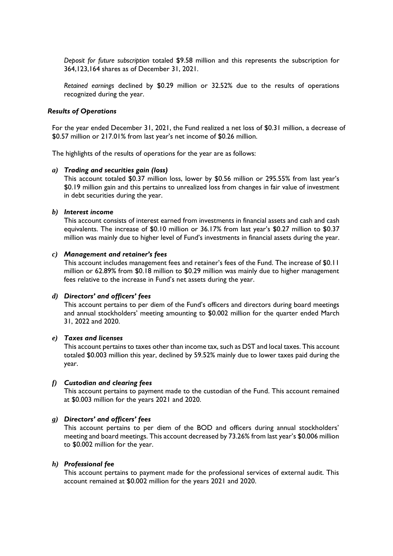*Deposit for future subscription* totaled \$9.58 million and this represents the subscription for 364,123,164 shares as of December 31, 2021.

*Retained earnings* declined by \$0.29 million or 32.52% due to the results of operations recognized during the year.

#### *Results of Operations*

For the year ended December 31, 2021, the Fund realized a net loss of \$0.31 million, a decrease of \$0.57 million or 217.01% from last year's net income of \$0.26 million.

The highlights of the results of operations for the year are as follows:

#### *a) Trading and securities gain (loss)*

This account totaled \$0.37 million loss, lower by \$0.56 million or 295.55% from last year's \$0.19 million gain and this pertains to unrealized loss from changes in fair value of investment in debt securities during the year.

#### *b) Interest income*

This account consists of interest earned from investments in financial assets and cash and cash equivalents. The increase of \$0.10 million or 36.17% from last year's \$0.27 million to \$0.37 million was mainly due to higher level of Fund's investments in financial assets during the year.

#### *c) Management and retainer's fees*

This account includes management fees and retainer's fees of the Fund. The increase of \$0.11 million or 62.89% from \$0.18 million to \$0.29 million was mainly due to higher management fees relative to the increase in Fund's net assets during the year.

#### *d) Directors' and officers' fees*

This account pertains to per diem of the Fund's officers and directors during board meetings and annual stockholders' meeting amounting to \$0.002 million for the quarter ended March 31, 2022 and 2020.

### *e) Taxes and licenses*

This account pertains to taxes other than income tax, such as DST and local taxes. This account totaled \$0.003 million this year, declined by 59.52% mainly due to lower taxes paid during the year.

## *f) Custodian and clearing fees*

This account pertains to payment made to the custodian of the Fund. This account remained at \$0.003 million for the years 2021 and 2020.

#### *g) Directors' and officers' fees*

This account pertains to per diem of the BOD and officers during annual stockholders' meeting and board meetings. This account decreased by 73.26% from last year's \$0.006 million to \$0.002 million for the year.

#### *h) Professional fee*

This account pertains to payment made for the professional services of external audit. This account remained at \$0.002 million for the years 2021 and 2020.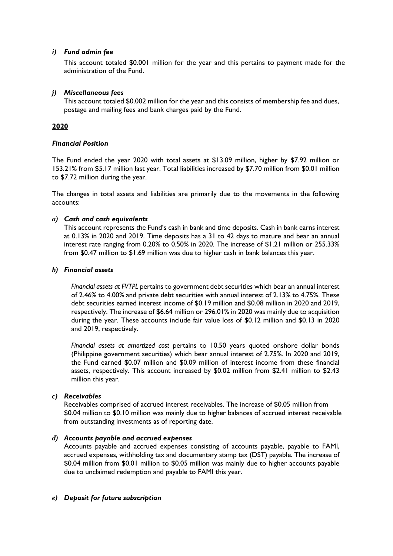### *i) Fund admin fee*

This account totaled \$0.001 million for the year and this pertains to payment made for the administration of the Fund.

### *j) Miscellaneous fees*

This account totaled \$0.002 million for the year and this consists of membership fee and dues, postage and mailing fees and bank charges paid by the Fund.

## **2020**

### *Financial Position*

The Fund ended the year 2020 with total assets at \$13.09 million, higher by \$7.92 million or 153.21% from \$5.17 million last year. Total liabilities increased by \$7.70 million from \$0.01 million to \$7.72 million during the year.

The changes in total assets and liabilities are primarily due to the movements in the following accounts:

### *a) Cash and cash equivalents*

This account represents the Fund's cash in bank and time deposits. Cash in bank earns interest at 0.13% in 2020 and 2019. Time deposits has a 31 to 42 days to mature and bear an annual interest rate ranging from 0.20% to 0.50% in 2020. The increase of \$1.21 million or 255.33% from \$0.47 million to \$1.69 million was due to higher cash in bank balances this year.

#### *b) Financial assets*

*Financial assets at FVTPL* pertains to government debt securities which bear an annual interest of 2.46% to 4.00% and private debt securities with annual interest of 2.13% to 4.75%. These debt securities earned interest income of \$0.19 million and \$0.08 million in 2020 and 2019, respectively. The increase of \$6.64 million or 296.01% in 2020 was mainly due to acquisition during the year. These accounts include fair value loss of \$0.12 million and \$0.13 in 2020 and 2019, respectively.

*Financial assets at amortized cost* pertains to 10.50 years quoted onshore dollar bonds (Philippine government securities) which bear annual interest of 2.75%. In 2020 and 2019, the Fund earned \$0.07 million and \$0.09 million of interest income from these financial assets, respectively. This account increased by \$0.02 million from \$2.41 million to \$2.43 million this year.

#### *c) Receivables*

Receivables comprised of accrued interest receivables. The increase of \$0.05 million from \$0.04 million to \$0.10 million was mainly due to higher balances of accrued interest receivable from outstanding investments as of reporting date.

#### *d) Accounts payable and accrued expenses*

Accounts payable and accrued expenses consisting of accounts payable, payable to FAMI, accrued expenses, withholding tax and documentary stamp tax (DST) payable. The increase of \$0.04 million from \$0.01 million to \$0.05 million was mainly due to higher accounts payable due to unclaimed redemption and payable to FAMI this year.

#### *e) Deposit for future subscription*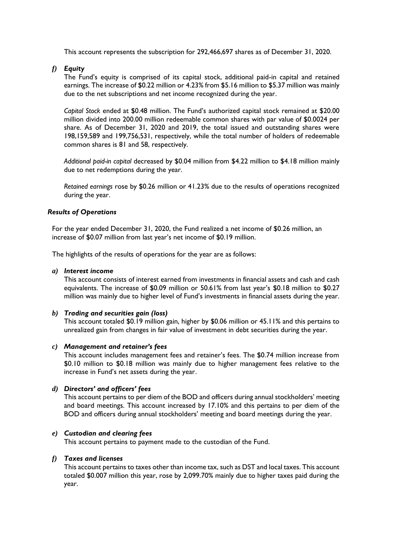This account represents the subscription for 292,466,697 shares as of December 31, 2020.

*f) Equity*

The Fund's equity is comprised of its capital stock, additional paid-in capital and retained earnings. The increase of \$0.22 million or 4.23% from \$5.16 million to \$5.37 million was mainly due to the net subscriptions and net income recognized during the year.

*Capital Stock* ended at \$0.48 million. The Fund's authorized capital stock remained at \$20.00 million divided into 200.00 million redeemable common shares with par value of \$0.0024 per share. As of December 31, 2020 and 2019, the total issued and outstanding shares were 198,159,589 and 199,756,531, respectively, while the total number of holders of redeemable common shares is 81 and 58, respectively.

*Additional paid-in capital* decreased by \$0.04 million from \$4.22 million to \$4.18 million mainly due to net redemptions during the year.

*Retained earnings* rose by \$0.26 million or 41.23% due to the results of operations recognized during the year.

#### *Results of Operations*

For the year ended December 31, 2020, the Fund realized a net income of \$0.26 million, an increase of \$0.07 million from last year's net income of \$0.19 million.

The highlights of the results of operations for the year are as follows:

#### *a) Interest income*

This account consists of interest earned from investments in financial assets and cash and cash equivalents. The increase of \$0.09 million or 50.61% from last year's \$0.18 million to \$0.27 million was mainly due to higher level of Fund's investments in financial assets during the year.

#### *b) Trading and securities gain (loss)*

This account totaled \$0.19 million gain, higher by \$0.06 million or 45.11% and this pertains to unrealized gain from changes in fair value of investment in debt securities during the year.

#### *c) Management and retainer's fees*

This account includes management fees and retainer's fees. The \$0.74 million increase from \$0.10 million to \$0.18 million was mainly due to higher management fees relative to the increase in Fund's net assets during the year.

#### *d) Directors' and officers' fees*

This account pertains to per diem of the BOD and officers during annual stockholders' meeting and board meetings. This account increased by 17.10% and this pertains to per diem of the BOD and officers during annual stockholders' meeting and board meetings during the year.

#### *e) Custodian and clearing fees*

This account pertains to payment made to the custodian of the Fund.

#### *f) Taxes and licenses*

This account pertains to taxes other than income tax, such as DST and local taxes. This account totaled \$0.007 million this year, rose by 2,099.70% mainly due to higher taxes paid during the year.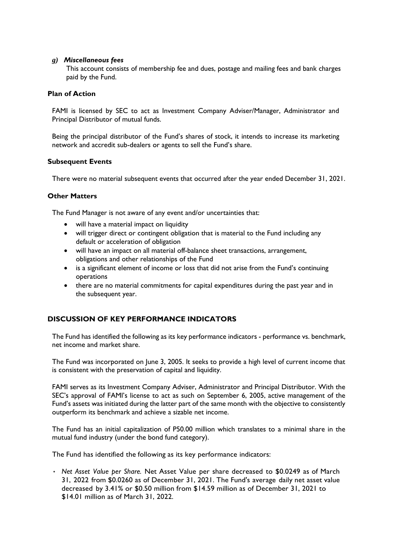### *g) Miscellaneous fees*

This account consists of membership fee and dues, postage and mailing fees and bank charges paid by the Fund.

### **Plan of Action**

FAMI is licensed by SEC to act as Investment Company Adviser/Manager, Administrator and Principal Distributor of mutual funds.

Being the principal distributor of the Fund's shares of stock, it intends to increase its marketing network and accredit sub-dealers or agents to sell the Fund's share.

### **Subsequent Events**

There were no material subsequent events that occurred after the year ended December 31, 2021.

## **Other Matters**

The Fund Manager is not aware of any event and/or uncertainties that:

- will have a material impact on liquidity
- will trigger direct or contingent obligation that is material to the Fund including any default or acceleration of obligation
- will have an impact on all material off-balance sheet transactions, arrangement, obligations and other relationships of the Fund
- is a significant element of income or loss that did not arise from the Fund's continuing operations
- there are no material commitments for capital expenditures during the past year and in the subsequent year.

## **DISCUSSION OF KEY PERFORMANCE INDICATORS**

The Fund has identified the following as its key performance indicators - performance vs. benchmark, net income and market share.

The Fund was incorporated on June 3, 2005. It seeks to provide a high level of current income that is consistent with the preservation of capital and liquidity.

FAMI serves as its Investment Company Adviser, Administrator and Principal Distributor. With the SEC's approval of FAMI's license to act as such on September 6, 2005, active management of the Fund's assets was initiated during the latter part of the same month with the objective to consistently outperform its benchmark and achieve a sizable net income.

The Fund has an initial capitalization of P50.00 million which translates to a minimal share in the mutual fund industry (under the bond fund category).

The Fund has identified the following as its key performance indicators:

• *Net Asset Value per Share.* Net Asset Value per share decreased to \$0.0249 as of March 31, 2022 from \$0.0260 as of December 31, 2021. The Fund's average daily net asset value decreased by 3.41% or \$0.50 million from \$14.59 million as of December 31, 2021 to \$14.01 million as of March 31, 2022.